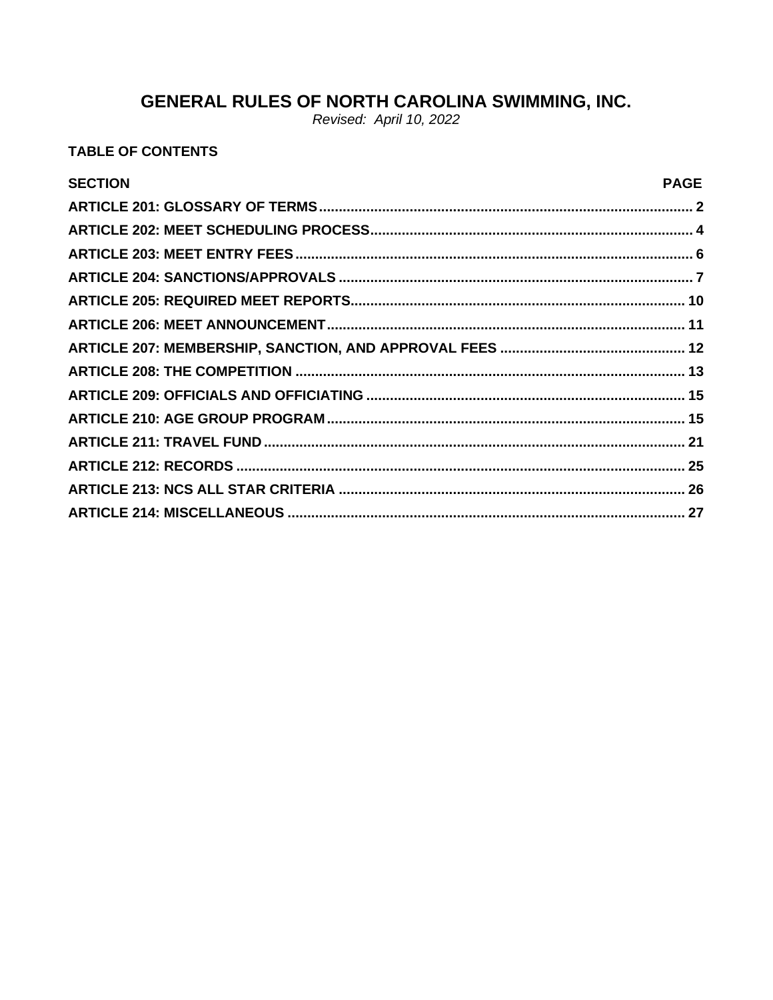# **GENERAL RULES OF NORTH CAROLINA SWIMMING, INC.**<br>Revised: April 10, 2022

## **TABLE OF CONTENTS**

| <b>SECTION</b> | <b>PAGE</b> |
|----------------|-------------|
|                |             |
|                |             |
|                |             |
|                |             |
|                |             |
|                |             |
|                |             |
|                |             |
|                |             |
|                |             |
|                |             |
|                |             |
|                |             |
|                |             |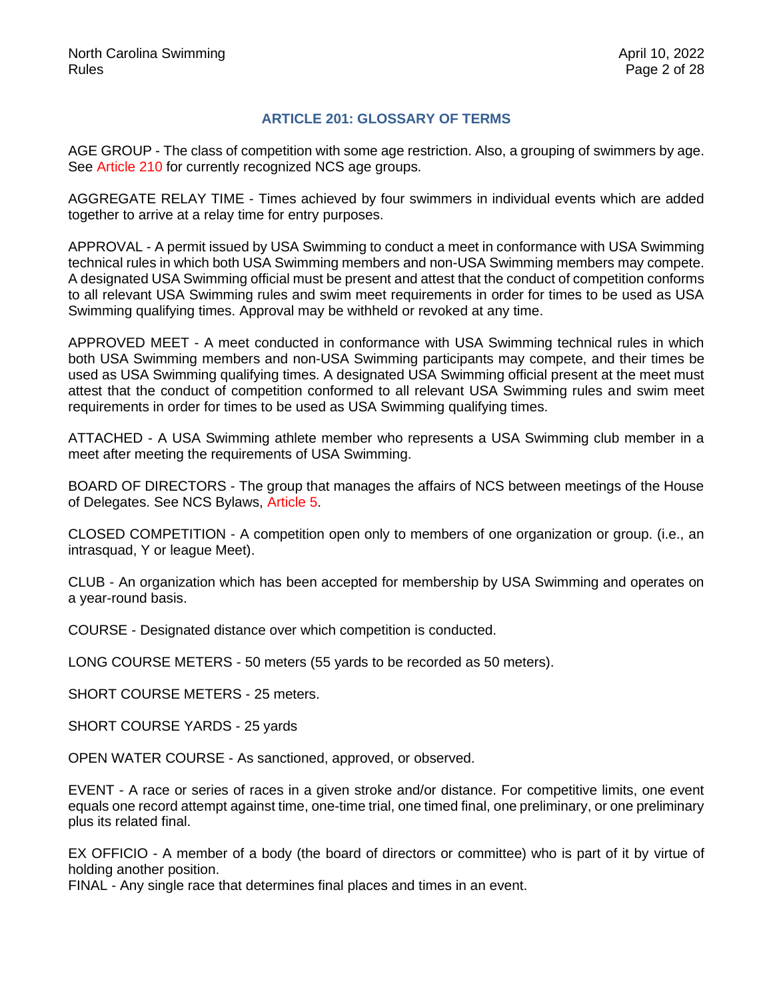## **ARTICLE 201: GLOSSARY OF TERMS**

<span id="page-1-0"></span>AGE GROUP - The class of competition with some age restriction. Also, a grouping of swimmers by age. See Article 210 for currently recognized NCS age groups.

AGGREGATE RELAY TIME - Times achieved by four swimmers in individual events which are added together to arrive at a relay time for entry purposes.

APPROVAL - A permit issued by USA Swimming to conduct a meet in conformance with USA Swimming technical rules in which both USA Swimming members and non-USA Swimming members may compete. A designated USA Swimming official must be present and attest that the conduct of competition conforms to all relevant USA Swimming rules and swim meet requirements in order for times to be used as USA Swimming qualifying times. Approval may be withheld or revoked at any time.

APPROVED MEET - A meet conducted in conformance with USA Swimming technical rules in which both USA Swimming members and non-USA Swimming participants may compete, and their times be used as USA Swimming qualifying times. A designated USA Swimming official present at the meet must attest that the conduct of competition conformed to all relevant USA Swimming rules and swim meet requirements in order for times to be used as USA Swimming qualifying times.

ATTACHED - A USA Swimming athlete member who represents a USA Swimming club member in a meet after meeting the requirements of USA Swimming.

BOARD OF DIRECTORS - The group that manages the affairs of NCS between meetings of the House of Delegates. See NCS Bylaws, Article 5.

CLOSED COMPETITION - A competition open only to members of one organization or group. (i.e., an intrasquad, Y or league Meet).

CLUB - An organization which has been accepted for membership by USA Swimming and operates on a year-round basis.

COURSE - Designated distance over which competition is conducted.

LONG COURSE METERS - 50 meters (55 yards to be recorded as 50 meters).

SHORT COURSE METERS - 25 meters.

SHORT COURSE YARDS - 25 yards

OPEN WATER COURSE - As sanctioned, approved, or observed.

EVENT - A race or series of races in a given stroke and/or distance. For competitive limits, one event equals one record attempt against time, one-time trial, one timed final, one preliminary, or one preliminary plus its related final.

EX OFFICIO - A member of a body (the board of directors or committee) who is part of it by virtue of holding another position.

FINAL - Any single race that determines final places and times in an event.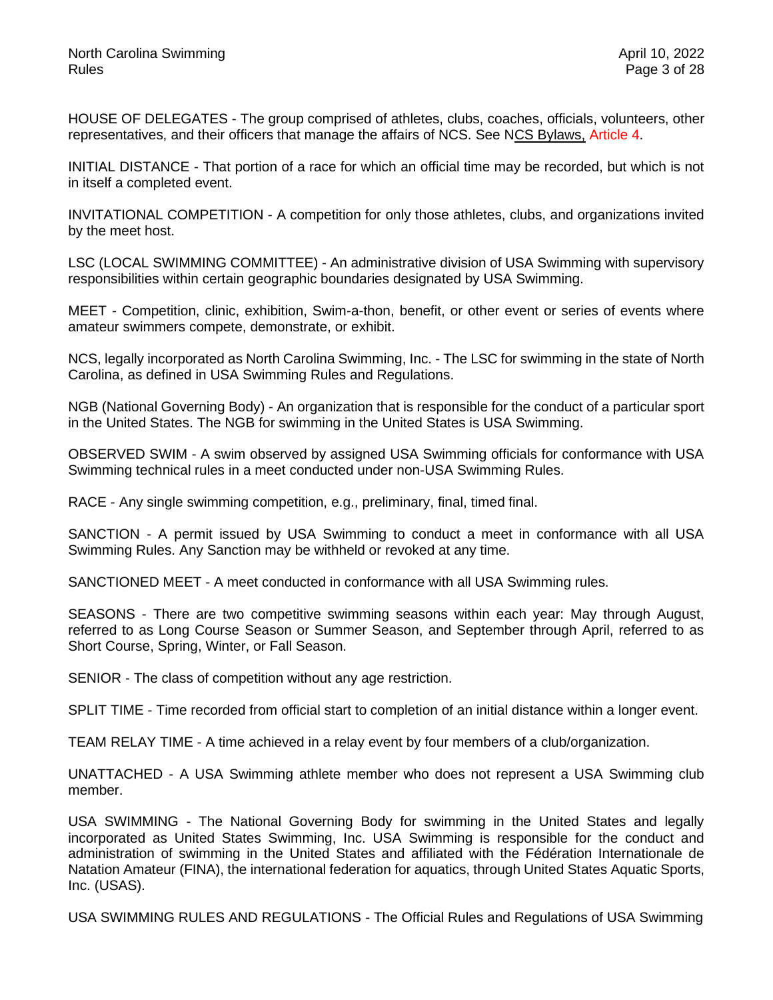HOUSE OF DELEGATES - The group comprised of athletes, clubs, coaches, officials, volunteers, other representatives, and their officers that manage the affairs of NCS. See NCS Bylaws, Article 4.

INITIAL DISTANCE - That portion of a race for which an official time may be recorded, but which is not in itself a completed event.

INVITATIONAL COMPETITION - A competition for only those athletes, clubs, and organizations invited by the meet host.

LSC (LOCAL SWIMMING COMMITTEE) - An administrative division of USA Swimming with supervisory responsibilities within certain geographic boundaries designated by USA Swimming.

MEET - Competition, clinic, exhibition, Swim-a-thon, benefit, or other event or series of events where amateur swimmers compete, demonstrate, or exhibit.

NCS, legally incorporated as North Carolina Swimming, Inc. - The LSC for swimming in the state of North Carolina, as defined in USA Swimming Rules and Regulations.

NGB (National Governing Body) - An organization that is responsible for the conduct of a particular sport in the United States. The NGB for swimming in the United States is USA Swimming.

OBSERVED SWIM - A swim observed by assigned USA Swimming officials for conformance with USA Swimming technical rules in a meet conducted under non-USA Swimming Rules.

RACE - Any single swimming competition, e.g., preliminary, final, timed final.

SANCTION - A permit issued by USA Swimming to conduct a meet in conformance with all USA Swimming Rules. Any Sanction may be withheld or revoked at any time.

SANCTIONED MEET - A meet conducted in conformance with all USA Swimming rules.

SEASONS - There are two competitive swimming seasons within each year: May through August, referred to as Long Course Season or Summer Season, and September through April, referred to as Short Course, Spring, Winter, or Fall Season.

SENIOR - The class of competition without any age restriction.

SPLIT TIME - Time recorded from official start to completion of an initial distance within a longer event.

TEAM RELAY TIME - A time achieved in a relay event by four members of a club/organization.

UNATTACHED - A USA Swimming athlete member who does not represent a USA Swimming club member.

USA SWIMMING - The National Governing Body for swimming in the United States and legally incorporated as United States Swimming, Inc. USA Swimming is responsible for the conduct and administration of swimming in the United States and affiliated with the Fédération Internationale de Natation Amateur (FINA), the international federation for aquatics, through United States Aquatic Sports, Inc. (USAS).

USA SWIMMING RULES AND REGULATIONS - The Official Rules and Regulations of USA Swimming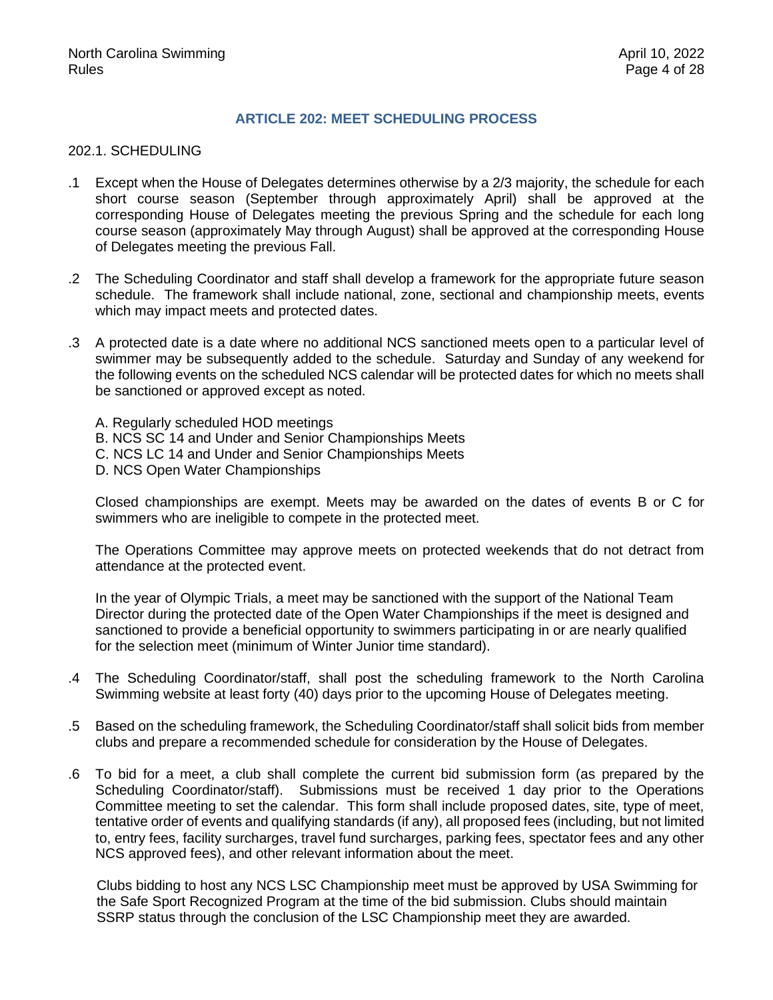### **ARTICLE 202: MEET SCHEDULING PROCESS**

#### <span id="page-3-0"></span>202.1. SCHEDULING

- .1 Except when the House of Delegates determines otherwise by a 2/3 majority, the schedule for each short course season (September through approximately April) shall be approved at the corresponding House of Delegates meeting the previous Spring and the schedule for each long course season (approximately May through August) shall be approved at the corresponding House of Delegates meeting the previous Fall.
- .2 The Scheduling Coordinator and staff shall develop a framework for the appropriate future season schedule. The framework shall include national, zone, sectional and championship meets, events which may impact meets and protected dates.
- .3 A protected date is a date where no additional NCS sanctioned meets open to a particular level of swimmer may be subsequently added to the schedule. Saturday and Sunday of any weekend for the following events on the scheduled NCS calendar will be protected dates for which no meets shall be sanctioned or approved except as noted.
	- A. Regularly scheduled HOD meetings
	- B. NCS SC 14 and Under and Senior Championships Meets
	- C. NCS LC 14 and Under and Senior Championships Meets
	- D. NCS Open Water Championships

Closed championships are exempt. Meets may be awarded on the dates of events B or C for swimmers who are ineligible to compete in the protected meet.

The Operations Committee may approve meets on protected weekends that do not detract from attendance at the protected event.

In the year of Olympic Trials, a meet may be sanctioned with the support of the National Team Director during the protected date of the Open Water Championships if the meet is designed and sanctioned to provide a beneficial opportunity to swimmers participating in or are nearly qualified for the selection meet (minimum of Winter Junior time standard).

- .4 The Scheduling Coordinator/staff, shall post the scheduling framework to the North Carolina Swimming website at least forty (40) days prior to the upcoming House of Delegates meeting.
- .5 Based on the scheduling framework, the Scheduling Coordinator/staff shall solicit bids from member clubs and prepare a recommended schedule for consideration by the House of Delegates.
- .6 To bid for a meet, a club shall complete the current bid submission form (as prepared by the Scheduling Coordinator/staff). Submissions must be received 1 day prior to the Operations Committee meeting to set the calendar. This form shall include proposed dates, site, type of meet, tentative order of events and qualifying standards (if any), all proposed fees (including, but not limited to, entry fees, facility surcharges, travel fund surcharges, parking fees, spectator fees and any other NCS approved fees), and other relevant information about the meet.

Clubs bidding to host any NCS LSC Championship meet must be approved by USA Swimming for the Safe Sport Recognized Program at the time of the bid submission. Clubs should maintain SSRP status through the conclusion of the LSC Championship meet they are awarded.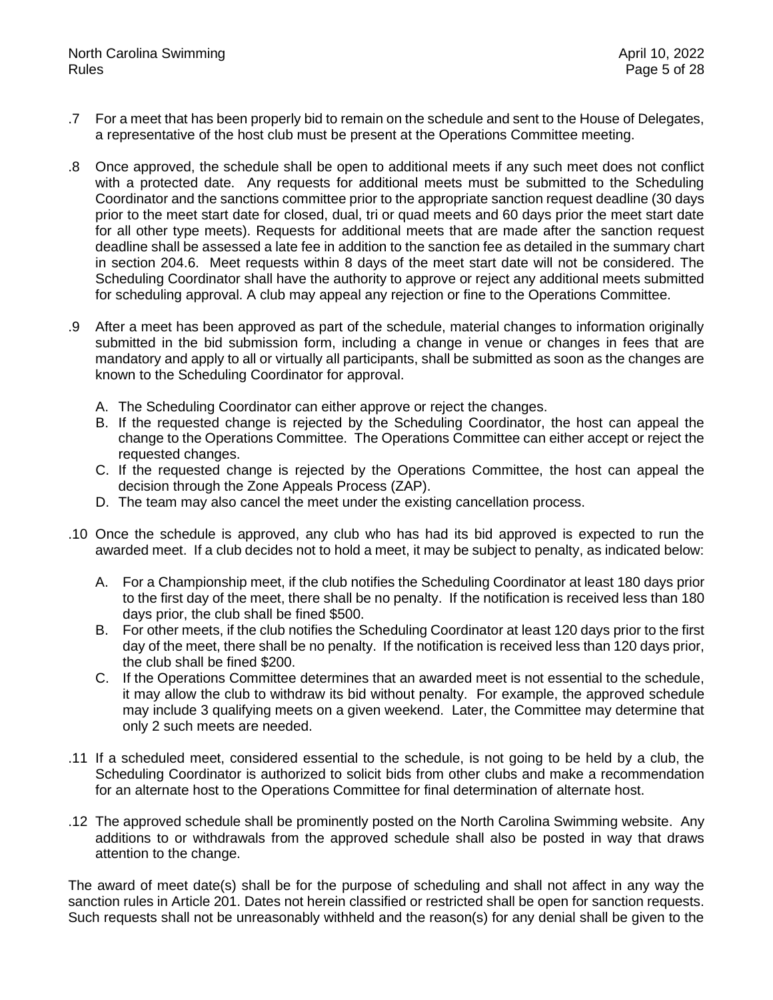- .7 For a meet that has been properly bid to remain on the schedule and sent to the House of Delegates, a representative of the host club must be present at the Operations Committee meeting.
- .8 Once approved, the schedule shall be open to additional meets if any such meet does not conflict with a protected date. Any requests for additional meets must be submitted to the Scheduling Coordinator and the sanctions committee prior to the appropriate sanction request deadline (30 days prior to the meet start date for closed, dual, tri or quad meets and 60 days prior the meet start date for all other type meets). Requests for additional meets that are made after the sanction request deadline shall be assessed a late fee in addition to the sanction fee as detailed in the summary chart in section 204.6. Meet requests within 8 days of the meet start date will not be considered. The Scheduling Coordinator shall have the authority to approve or reject any additional meets submitted for scheduling approval. A club may appeal any rejection or fine to the Operations Committee.
- .9 After a meet has been approved as part of the schedule, material changes to information originally submitted in the bid submission form, including a change in venue or changes in fees that are mandatory and apply to all or virtually all participants, shall be submitted as soon as the changes are known to the Scheduling Coordinator for approval.
	- A. The Scheduling Coordinator can either approve or reject the changes.
	- B. If the requested change is rejected by the Scheduling Coordinator, the host can appeal the change to the Operations Committee. The Operations Committee can either accept or reject the requested changes.
	- C. If the requested change is rejected by the Operations Committee, the host can appeal the decision through the Zone Appeals Process (ZAP).
	- D. The team may also cancel the meet under the existing cancellation process.
- .10 Once the schedule is approved, any club who has had its bid approved is expected to run the awarded meet. If a club decides not to hold a meet, it may be subject to penalty, as indicated below:
	- A. For a Championship meet, if the club notifies the Scheduling Coordinator at least 180 days prior to the first day of the meet, there shall be no penalty. If the notification is received less than 180 days prior, the club shall be fined \$500.
	- B. For other meets, if the club notifies the Scheduling Coordinator at least 120 days prior to the first day of the meet, there shall be no penalty. If the notification is received less than 120 days prior, the club shall be fined \$200.
	- C. If the Operations Committee determines that an awarded meet is not essential to the schedule, it may allow the club to withdraw its bid without penalty. For example, the approved schedule may include 3 qualifying meets on a given weekend. Later, the Committee may determine that only 2 such meets are needed.
- .11 If a scheduled meet, considered essential to the schedule, is not going to be held by a club, the Scheduling Coordinator is authorized to solicit bids from other clubs and make a recommendation for an alternate host to the Operations Committee for final determination of alternate host.
- .12 The approved schedule shall be prominently posted on the North Carolina Swimming website. Any additions to or withdrawals from the approved schedule shall also be posted in way that draws attention to the change.

The award of meet date(s) shall be for the purpose of scheduling and shall not affect in any way the sanction rules in Article 201. Dates not herein classified or restricted shall be open for sanction requests. Such requests shall not be unreasonably withheld and the reason(s) for any denial shall be given to the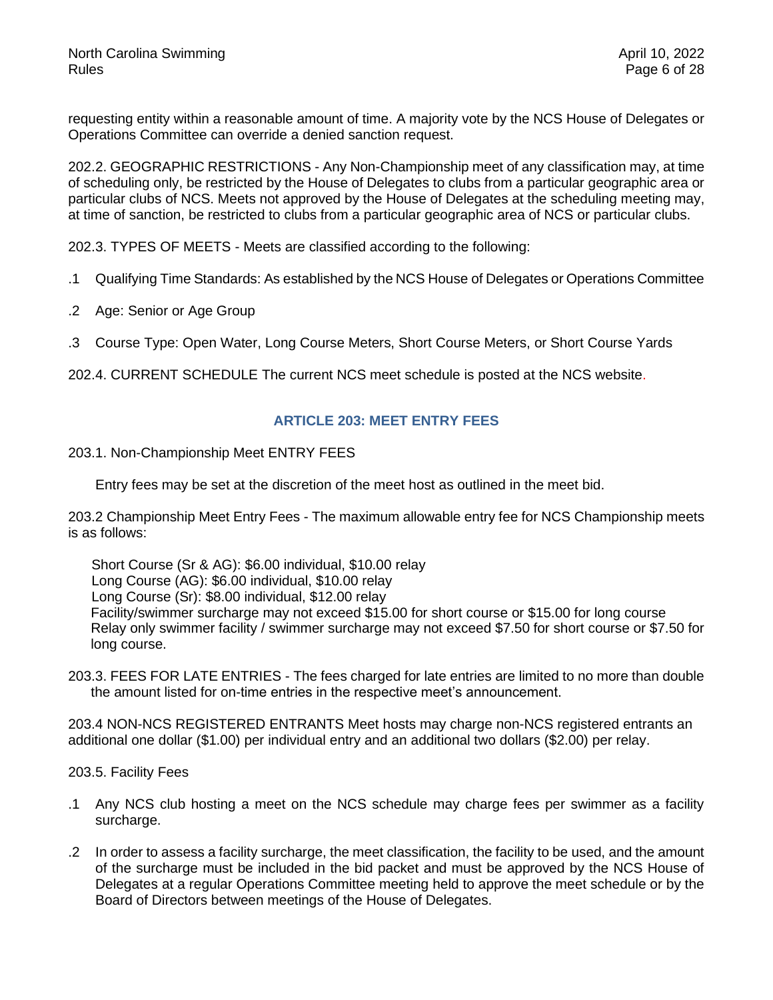requesting entity within a reasonable amount of time. A majority vote by the NCS House of Delegates or Operations Committee can override a denied sanction request.

202.2. GEOGRAPHIC RESTRICTIONS - Any Non-Championship meet of any classification may, at time of scheduling only, be restricted by the House of Delegates to clubs from a particular geographic area or particular clubs of NCS. Meets not approved by the House of Delegates at the scheduling meeting may, at time of sanction, be restricted to clubs from a particular geographic area of NCS or particular clubs.

202.3. TYPES OF MEETS - Meets are classified according to the following:

- .1 Qualifying Time Standards: As established by the NCS House of Delegates or Operations Committee
- .2 Age: Senior or Age Group
- .3 Course Type: Open Water, Long Course Meters, Short Course Meters, or Short Course Yards

<span id="page-5-0"></span>202.4. CURRENT SCHEDULE The current NCS meet schedule is posted at the NCS website.

#### **ARTICLE 203: MEET ENTRY FEES**

203.1. Non-Championship Meet ENTRY FEES

Entry fees may be set at the discretion of the meet host as outlined in the meet bid.

203.2 Championship Meet Entry Fees - The maximum allowable entry fee for NCS Championship meets is as follows:

 Short Course (Sr & AG): \$6.00 individual, \$10.00 relay Long Course (AG): \$6.00 individual, \$10.00 relay Long Course (Sr): \$8.00 individual, \$12.00 relay Facility/swimmer surcharge may not exceed \$15.00 for short course or \$15.00 for long course Relay only swimmer facility / swimmer surcharge may not exceed \$7.50 for short course or \$7.50 for long course.

203.3. FEES FOR LATE ENTRIES - The fees charged for late entries are limited to no more than double the amount listed for on-time entries in the respective meet's announcement.

203.4 NON-NCS REGISTERED ENTRANTS Meet hosts may charge non-NCS registered entrants an additional one dollar (\$1.00) per individual entry and an additional two dollars (\$2.00) per relay.

203.5. Facility Fees

- .1 Any NCS club hosting a meet on the NCS schedule may charge fees per swimmer as a facility surcharge.
- .2 In order to assess a facility surcharge, the meet classification, the facility to be used, and the amount of the surcharge must be included in the bid packet and must be approved by the NCS House of Delegates at a regular Operations Committee meeting held to approve the meet schedule or by the Board of Directors between meetings of the House of Delegates.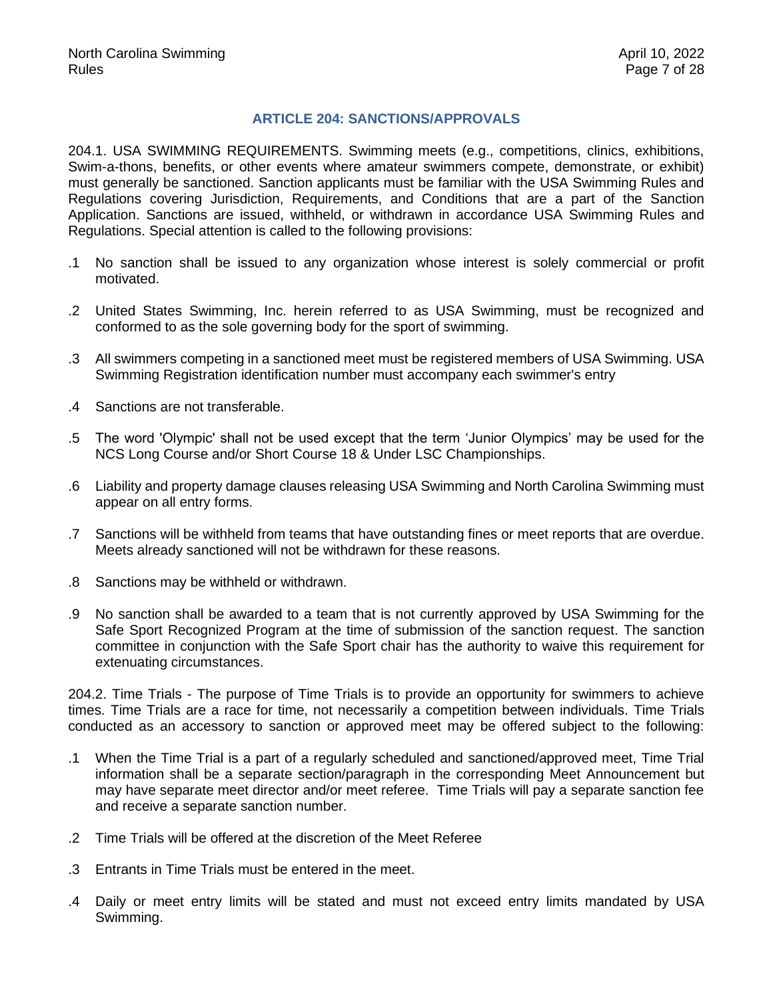## **ARTICLE 204: SANCTIONS/APPROVALS**

<span id="page-6-0"></span>204.1. USA SWIMMING REQUIREMENTS. Swimming meets (e.g., competitions, clinics, exhibitions, Swim-a-thons, benefits, or other events where amateur swimmers compete, demonstrate, or exhibit) must generally be sanctioned. Sanction applicants must be familiar with the USA Swimming Rules and Regulations covering Jurisdiction, Requirements, and Conditions that are a part of the Sanction Application. Sanctions are issued, withheld, or withdrawn in accordance USA Swimming Rules and Regulations. Special attention is called to the following provisions:

- .1 No sanction shall be issued to any organization whose interest is solely commercial or profit motivated.
- .2 United States Swimming, Inc. herein referred to as USA Swimming, must be recognized and conformed to as the sole governing body for the sport of swimming.
- .3 All swimmers competing in a sanctioned meet must be registered members of USA Swimming. USA Swimming Registration identification number must accompany each swimmer's entry
- .4 Sanctions are not transferable.
- .5 The word 'Olympic' shall not be used except that the term 'Junior Olympics' may be used for the NCS Long Course and/or Short Course 18 & Under LSC Championships.
- .6 Liability and property damage clauses releasing USA Swimming and North Carolina Swimming must appear on all entry forms.
- .7 Sanctions will be withheld from teams that have outstanding fines or meet reports that are overdue. Meets already sanctioned will not be withdrawn for these reasons.
- .8 Sanctions may be withheld or withdrawn.
- .9 No sanction shall be awarded to a team that is not currently approved by USA Swimming for the Safe Sport Recognized Program at the time of submission of the sanction request. The sanction committee in conjunction with the Safe Sport chair has the authority to waive this requirement for extenuating circumstances.

204.2. Time Trials - The purpose of Time Trials is to provide an opportunity for swimmers to achieve times. Time Trials are a race for time, not necessarily a competition between individuals. Time Trials conducted as an accessory to sanction or approved meet may be offered subject to the following:

- .1 When the Time Trial is a part of a regularly scheduled and sanctioned/approved meet, Time Trial information shall be a separate section/paragraph in the corresponding Meet Announcement but may have separate meet director and/or meet referee. Time Trials will pay a separate sanction fee and receive a separate sanction number.
- .2 Time Trials will be offered at the discretion of the Meet Referee
- .3 Entrants in Time Trials must be entered in the meet.
- .4 Daily or meet entry limits will be stated and must not exceed entry limits mandated by USA Swimming.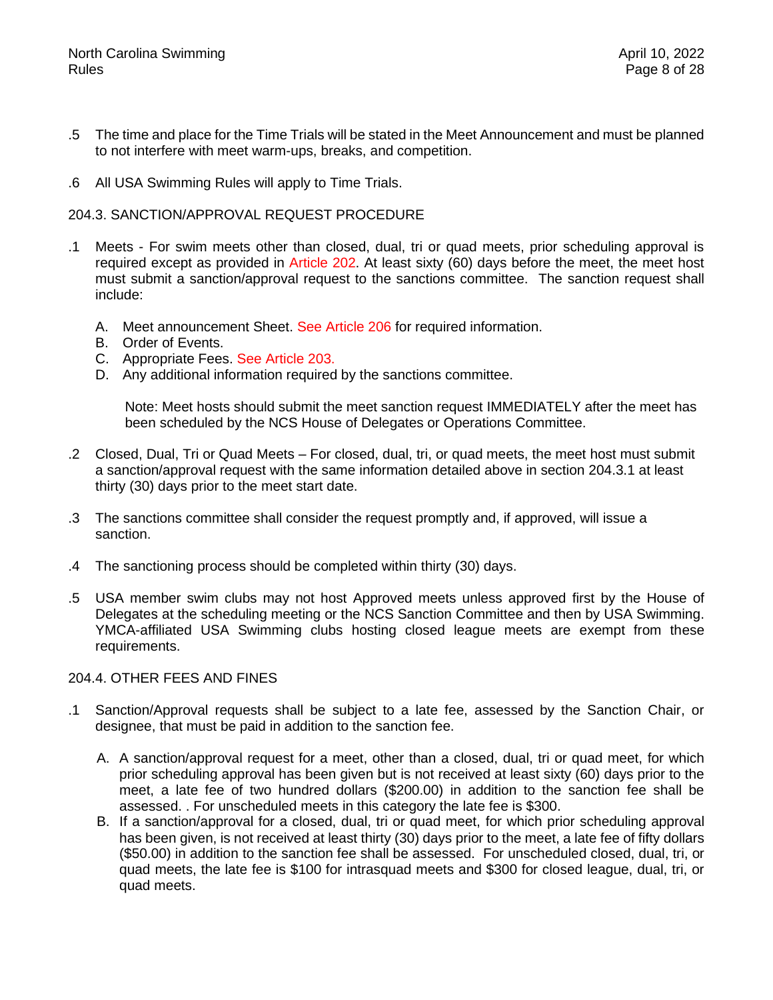- .5 The time and place for the Time Trials will be stated in the Meet Announcement and must be planned to not interfere with meet warm-ups, breaks, and competition.
- .6 All USA Swimming Rules will apply to Time Trials.

#### 204.3. SANCTION/APPROVAL REQUEST PROCEDURE

- .1 Meets For swim meets other than closed, dual, tri or quad meets, prior scheduling approval is required except as provided in Article 202. At least sixty (60) days before the meet, the meet host must submit a sanction/approval request to the sanctions committee. The sanction request shall include:
	- A. Meet announcement Sheet. See Article 206 for required information.
	- B. Order of Events.
	- C. Appropriate Fees. See Article 203.
	- D. Any additional information required by the sanctions committee.

Note: Meet hosts should submit the meet sanction request IMMEDIATELY after the meet has been scheduled by the NCS House of Delegates or Operations Committee.

- .2 Closed, Dual, Tri or Quad Meets For closed, dual, tri, or quad meets, the meet host must submit a sanction/approval request with the same information detailed above in section 204.3.1 at least thirty (30) days prior to the meet start date.
- .3 The sanctions committee shall consider the request promptly and, if approved, will issue a sanction.
- .4 The sanctioning process should be completed within thirty (30) days.
- .5 USA member swim clubs may not host Approved meets unless approved first by the House of Delegates at the scheduling meeting or the NCS Sanction Committee and then by USA Swimming. YMCA-affiliated USA Swimming clubs hosting closed league meets are exempt from these requirements.

#### 204.4. OTHER FEES AND FINES

- .1 Sanction/Approval requests shall be subject to a late fee, assessed by the Sanction Chair, or designee, that must be paid in addition to the sanction fee.
	- A. A sanction/approval request for a meet, other than a closed, dual, tri or quad meet, for which prior scheduling approval has been given but is not received at least sixty (60) days prior to the meet, a late fee of two hundred dollars (\$200.00) in addition to the sanction fee shall be assessed. . For unscheduled meets in this category the late fee is \$300.
	- B. If a sanction/approval for a closed, dual, tri or quad meet, for which prior scheduling approval has been given, is not received at least thirty (30) days prior to the meet, a late fee of fifty dollars (\$50.00) in addition to the sanction fee shall be assessed. For unscheduled closed, dual, tri, or quad meets, the late fee is \$100 for intrasquad meets and \$300 for closed league, dual, tri, or quad meets.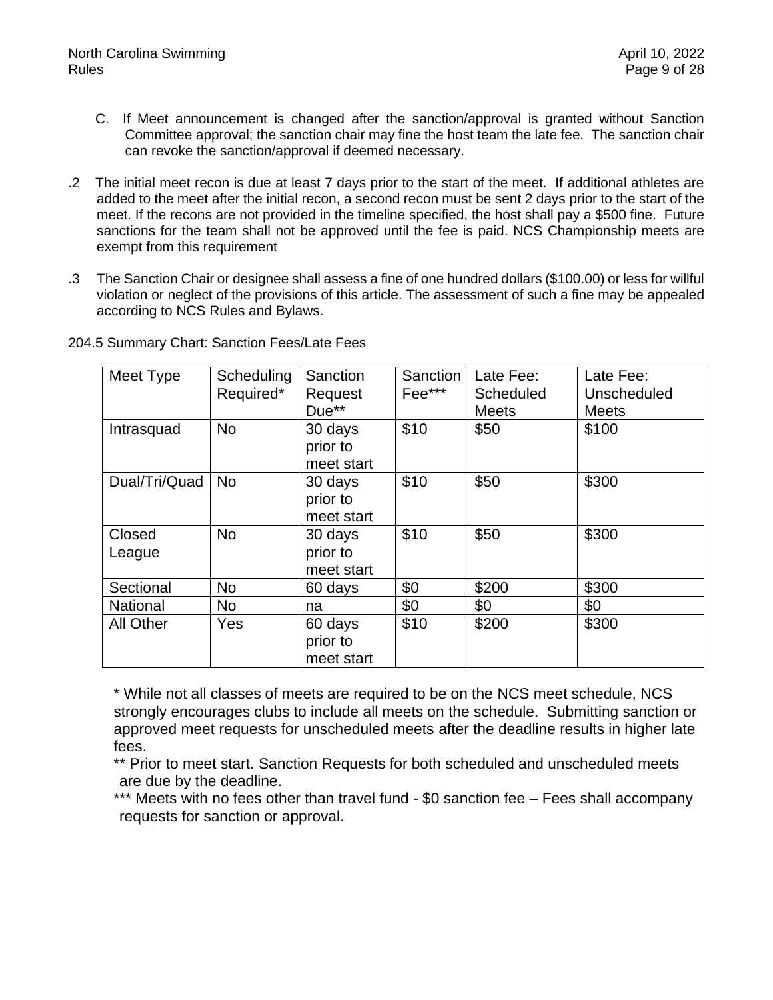- C. If Meet announcement is changed after the sanction/approval is granted without Sanction Committee approval; the sanction chair may fine the host team the late fee. The sanction chair can revoke the sanction/approval if deemed necessary.
- .2 The initial meet recon is due at least 7 days prior to the start of the meet. If additional athletes are added to the meet after the initial recon, a second recon must be sent 2 days prior to the start of the meet. If the recons are not provided in the timeline specified, the host shall pay a \$500 fine. Future sanctions for the team shall not be approved until the fee is paid. NCS Championship meets are exempt from this requirement
- .3 The Sanction Chair or designee shall assess a fine of one hundred dollars (\$100.00) or less for willful violation or neglect of the provisions of this article. The assessment of such a fine may be appealed according to NCS Rules and Bylaws.

| Meet Type        | Scheduling<br>Required* | Sanction<br>Request<br>Due**      | <b>Sanction</b><br>Fee*** | Late Fee:<br>Scheduled<br><b>Meets</b> | Late Fee:<br>Unscheduled<br><b>Meets</b> |
|------------------|-------------------------|-----------------------------------|---------------------------|----------------------------------------|------------------------------------------|
| Intrasquad       | <b>No</b>               | 30 days<br>prior to<br>meet start | \$10                      | \$50                                   | \$100                                    |
| Dual/Tri/Quad    | <b>No</b>               | 30 days<br>prior to<br>meet start | \$10                      | \$50                                   | \$300                                    |
| Closed<br>League | <b>No</b>               | 30 days<br>prior to<br>meet start | \$10                      | \$50                                   | \$300                                    |
| Sectional        | <b>No</b>               | 60 days                           | \$0                       | \$200                                  | \$300                                    |
| <b>National</b>  | <b>No</b>               | na                                | \$0                       | \$0                                    | \$0                                      |
| <b>All Other</b> | Yes                     | 60 days<br>prior to<br>meet start | \$10                      | \$200                                  | \$300                                    |

204.5 Summary Chart: Sanction Fees/Late Fees

\* While not all classes of meets are required to be on the NCS meet schedule, NCS strongly encourages clubs to include all meets on the schedule. Submitting sanction or approved meet requests for unscheduled meets after the deadline results in higher late fees.

\*\* Prior to meet start. Sanction Requests for both scheduled and unscheduled meets are due by the deadline.

<span id="page-8-0"></span>\*\*\* Meets with no fees other than travel fund - \$0 sanction fee – Fees shall accompany requests for sanction or approval.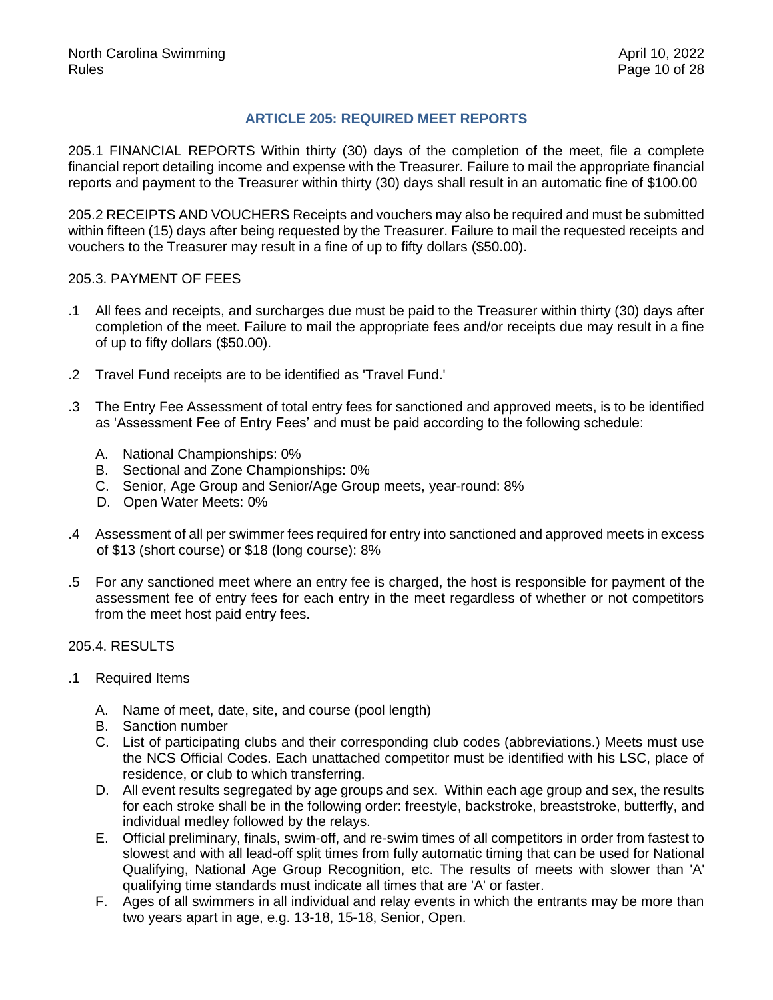# **ARTICLE 205: REQUIRED MEET REPORTS**

205.1 FINANCIAL REPORTS Within thirty (30) days of the completion of the meet, file a complete financial report detailing income and expense with the Treasurer. Failure to mail the appropriate financial reports and payment to the Treasurer within thirty (30) days shall result in an automatic fine of \$100.00

205.2 RECEIPTS AND VOUCHERS Receipts and vouchers may also be required and must be submitted within fifteen (15) days after being requested by the Treasurer. Failure to mail the requested receipts and vouchers to the Treasurer may result in a fine of up to fifty dollars (\$50.00).

# 205.3. PAYMENT OF FEES

- .1 All fees and receipts, and surcharges due must be paid to the Treasurer within thirty (30) days after completion of the meet. Failure to mail the appropriate fees and/or receipts due may result in a fine of up to fifty dollars (\$50.00).
- .2 Travel Fund receipts are to be identified as 'Travel Fund.'
- .3 The Entry Fee Assessment of total entry fees for sanctioned and approved meets, is to be identified as 'Assessment Fee of Entry Fees' and must be paid according to the following schedule:
	- A. National Championships: 0%
	- B. Sectional and Zone Championships: 0%
	- C. Senior, Age Group and Senior/Age Group meets, year-round: 8%
	- D. Open Water Meets: 0%
- .4 Assessment of all per swimmer fees required for entry into sanctioned and approved meets in excess of \$13 (short course) or \$18 (long course): 8%
- .5 For any sanctioned meet where an entry fee is charged, the host is responsible for payment of the assessment fee of entry fees for each entry in the meet regardless of whether or not competitors from the meet host paid entry fees.

# 205.4. RESULTS

- .1 Required Items
	- A. Name of meet, date, site, and course (pool length)
	- B. Sanction number
	- C. List of participating clubs and their corresponding club codes (abbreviations.) Meets must use the NCS Official Codes. Each unattached competitor must be identified with his LSC, place of residence, or club to which transferring.
	- D. All event results segregated by age groups and sex. Within each age group and sex, the results for each stroke shall be in the following order: freestyle, backstroke, breaststroke, butterfly, and individual medley followed by the relays.
	- E. Official preliminary, finals, swim-off, and re-swim times of all competitors in order from fastest to slowest and with all lead-off split times from fully automatic timing that can be used for National Qualifying, National Age Group Recognition, etc. The results of meets with slower than 'A' qualifying time standards must indicate all times that are 'A' or faster.
	- F. Ages of all swimmers in all individual and relay events in which the entrants may be more than two years apart in age, e.g. 13-18, 15-18, Senior, Open.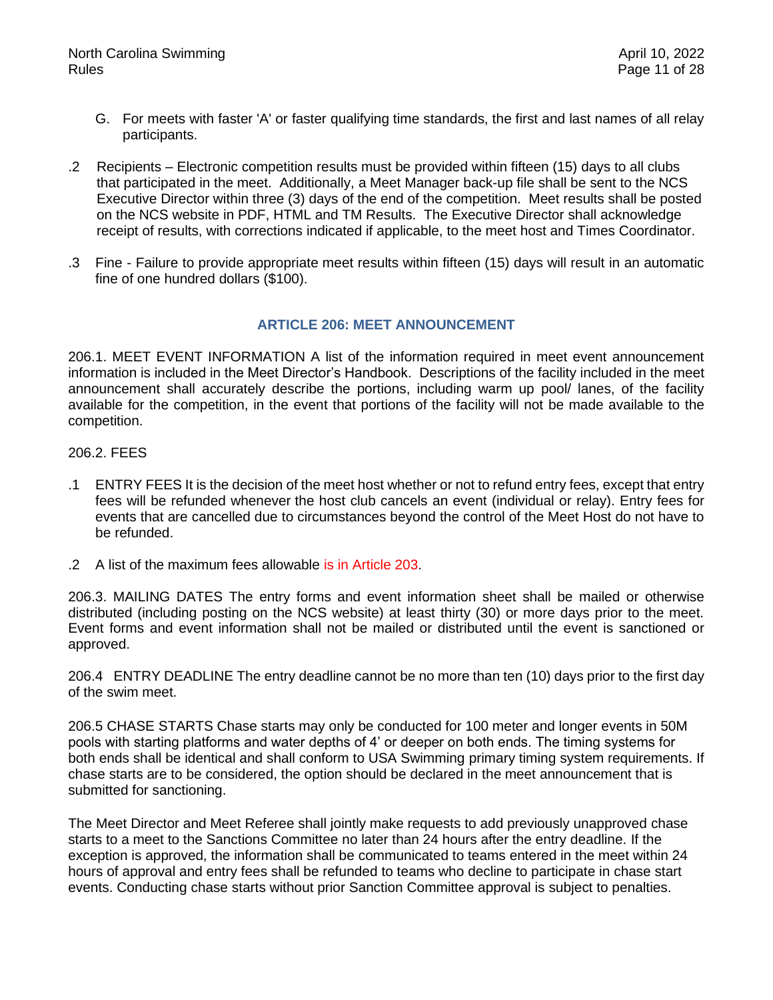- G. For meets with faster 'A' or faster qualifying time standards, the first and last names of all relay participants.
- .2 Recipients Electronic competition results must be provided within fifteen (15) days to all clubs that participated in the meet. Additionally, a Meet Manager back-up file shall be sent to the NCS Executive Director within three (3) days of the end of the competition. Meet results shall be posted on the NCS website in PDF, HTML and TM Results. The Executive Director shall acknowledge receipt of results, with corrections indicated if applicable, to the meet host and Times Coordinator.
- <span id="page-10-0"></span>.3 Fine - Failure to provide appropriate meet results within fifteen (15) days will result in an automatic fine of one hundred dollars (\$100).

#### **ARTICLE 206: MEET ANNOUNCEMENT**

206.1. MEET EVENT INFORMATION A list of the information required in meet event announcement information is included in the Meet Director's Handbook. Descriptions of the facility included in the meet announcement shall accurately describe the portions, including warm up pool/ lanes, of the facility available for the competition, in the event that portions of the facility will not be made available to the competition.

#### 206.2. FEES

- .1 ENTRY FEES It is the decision of the meet host whether or not to refund entry fees, except that entry fees will be refunded whenever the host club cancels an event (individual or relay). Entry fees for events that are cancelled due to circumstances beyond the control of the Meet Host do not have to be refunded.
- .2 A list of the maximum fees allowable is in Article 203.

206.3. MAILING DATES The entry forms and event information sheet shall be mailed or otherwise distributed (including posting on the NCS website) at least thirty (30) or more days prior to the meet. Event forms and event information shall not be mailed or distributed until the event is sanctioned or approved.

206.4 ENTRY DEADLINE The entry deadline cannot be no more than ten (10) days prior to the first day of the swim meet.

206.5 CHASE STARTS Chase starts may only be conducted for 100 meter and longer events in 50M pools with starting platforms and water depths of 4' or deeper on both ends. The timing systems for both ends shall be identical and shall conform to USA Swimming primary timing system requirements. If chase starts are to be considered, the option should be declared in the meet announcement that is submitted for sanctioning.

The Meet Director and Meet Referee shall jointly make requests to add previously unapproved chase starts to a meet to the Sanctions Committee no later than 24 hours after the entry deadline. If the exception is approved, the information shall be communicated to teams entered in the meet within 24 hours of approval and entry fees shall be refunded to teams who decline to participate in chase start events. Conducting chase starts without prior Sanction Committee approval is subject to penalties.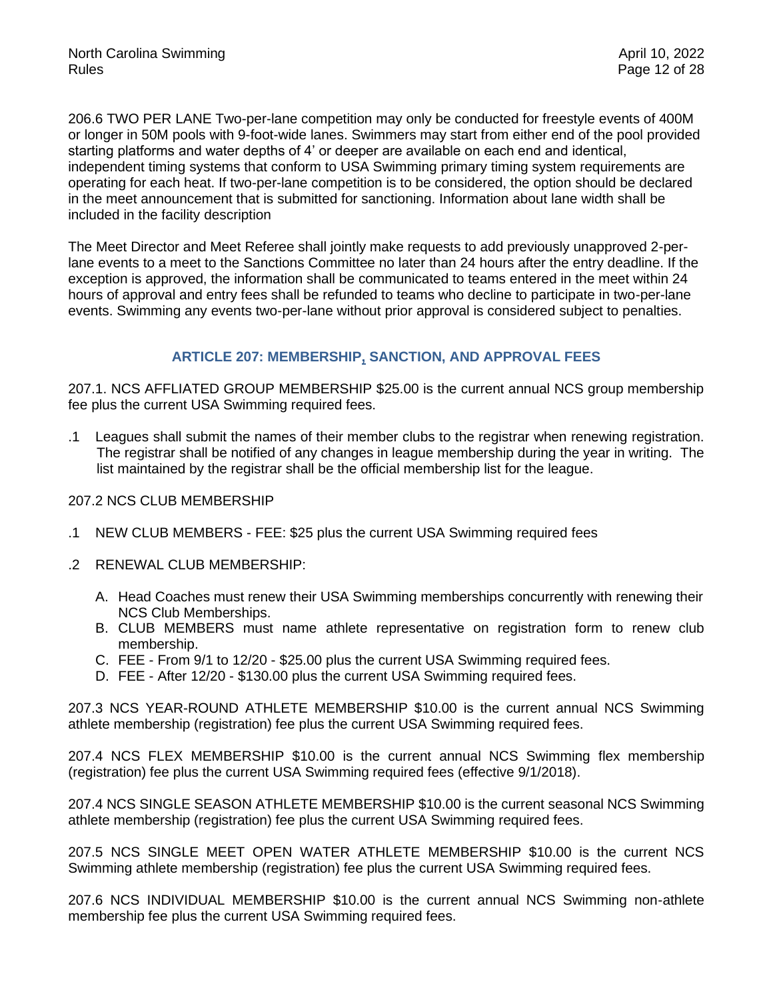206.6 TWO PER LANE Two-per-lane competition may only be conducted for freestyle events of 400M or longer in 50M pools with 9-foot-wide lanes. Swimmers may start from either end of the pool provided starting platforms and water depths of 4' or deeper are available on each end and identical, independent timing systems that conform to USA Swimming primary timing system requirements are operating for each heat. If two-per-lane competition is to be considered, the option should be declared in the meet announcement that is submitted for sanctioning. Information about lane width shall be included in the facility description

The Meet Director and Meet Referee shall jointly make requests to add previously unapproved 2-perlane events to a meet to the Sanctions Committee no later than 24 hours after the entry deadline. If the exception is approved, the information shall be communicated to teams entered in the meet within 24 hours of approval and entry fees shall be refunded to teams who decline to participate in two-per-lane events. Swimming any events two-per-lane without prior approval is considered subject to penalties.

# **ARTICLE 207: MEMBERSHIP, SANCTION, AND APPROVAL FEES**

<span id="page-11-0"></span>207.1. NCS AFFLIATED GROUP MEMBERSHIP \$25.00 is the current annual NCS group membership fee plus the current USA Swimming required fees.

.1 Leagues shall submit the names of their member clubs to the registrar when renewing registration. The registrar shall be notified of any changes in league membership during the year in writing. The list maintained by the registrar shall be the official membership list for the league.

#### 207.2 NCS CLUB MEMBERSHIP

- .1 NEW CLUB MEMBERS FEE: \$25 plus the current USA Swimming required fees
- .2 RENEWAL CLUB MEMBERSHIP:
	- A. Head Coaches must renew their USA Swimming memberships concurrently with renewing their NCS Club Memberships.
	- B. CLUB MEMBERS must name athlete representative on registration form to renew club membership.
	- C. FEE From 9/1 to 12/20 \$25.00 plus the current USA Swimming required fees.
	- D. FEE After 12/20 \$130.00 plus the current USA Swimming required fees.

207.3 NCS YEAR-ROUND ATHLETE MEMBERSHIP \$10.00 is the current annual NCS Swimming athlete membership (registration) fee plus the current USA Swimming required fees.

207.4 NCS FLEX MEMBERSHIP \$10.00 is the current annual NCS Swimming flex membership (registration) fee plus the current USA Swimming required fees (effective 9/1/2018).

207.4 NCS SINGLE SEASON ATHLETE MEMBERSHIP \$10.00 is the current seasonal NCS Swimming athlete membership (registration) fee plus the current USA Swimming required fees.

207.5 NCS SINGLE MEET OPEN WATER ATHLETE MEMBERSHIP \$10.00 is the current NCS Swimming athlete membership (registration) fee plus the current USA Swimming required fees.

207.6 NCS INDIVIDUAL MEMBERSHIP \$10.00 is the current annual NCS Swimming non-athlete membership fee plus the current USA Swimming required fees.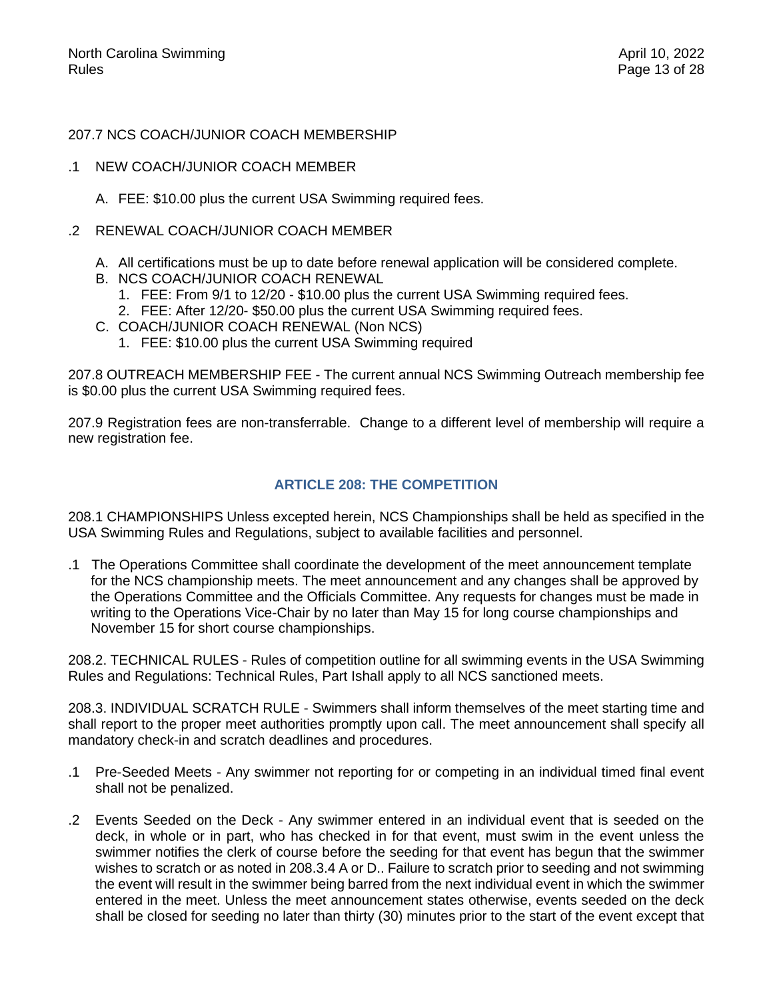#### 207.7 NCS COACH/JUNIOR COACH MEMBERSHIP

- .1 NEW COACH/JUNIOR COACH MEMBER
	- A. FEE: \$10.00 plus the current USA Swimming required fees.
- .2 RENEWAL COACH/JUNIOR COACH MEMBER
	- A. All certifications must be up to date before renewal application will be considered complete.
	- B. NCS COACH/JUNIOR COACH RENEWAL
		- 1. FEE: From 9/1 to 12/20 \$10.00 plus the current USA Swimming required fees.
		- 2. FEE: After 12/20- \$50.00 plus the current USA Swimming required fees.
	- C. COACH/JUNIOR COACH RENEWAL (Non NCS)
		- 1. FEE: \$10.00 plus the current USA Swimming required

207.8 OUTREACH MEMBERSHIP FEE - The current annual NCS Swimming Outreach membership fee is \$0.00 plus the current USA Swimming required fees.

<span id="page-12-0"></span>207.9 Registration fees are non-transferrable. Change to a different level of membership will require a new registration fee.

#### **ARTICLE 208: THE COMPETITION**

208.1 CHAMPIONSHIPS Unless excepted herein, NCS Championships shall be held as specified in the USA Swimming Rules and Regulations, subject to available facilities and personnel.

.1 The Operations Committee shall coordinate the development of the meet announcement template for the NCS championship meets. The meet announcement and any changes shall be approved by the Operations Committee and the Officials Committee. Any requests for changes must be made in writing to the Operations Vice-Chair by no later than May 15 for long course championships and November 15 for short course championships.

208.2. TECHNICAL RULES - Rules of competition outline for all swimming events in the USA Swimming Rules and Regulations: Technical Rules, Part Ishall apply to all NCS sanctioned meets.

208.3. INDIVIDUAL SCRATCH RULE - Swimmers shall inform themselves of the meet starting time and shall report to the proper meet authorities promptly upon call. The meet announcement shall specify all mandatory check-in and scratch deadlines and procedures.

- .1 Pre-Seeded Meets Any swimmer not reporting for or competing in an individual timed final event shall not be penalized.
- .2 Events Seeded on the Deck Any swimmer entered in an individual event that is seeded on the deck, in whole or in part, who has checked in for that event, must swim in the event unless the swimmer notifies the clerk of course before the seeding for that event has begun that the swimmer wishes to scratch or as noted in 208.3.4 A or D.. Failure to scratch prior to seeding and not swimming the event will result in the swimmer being barred from the next individual event in which the swimmer entered in the meet. Unless the meet announcement states otherwise, events seeded on the deck shall be closed for seeding no later than thirty (30) minutes prior to the start of the event except that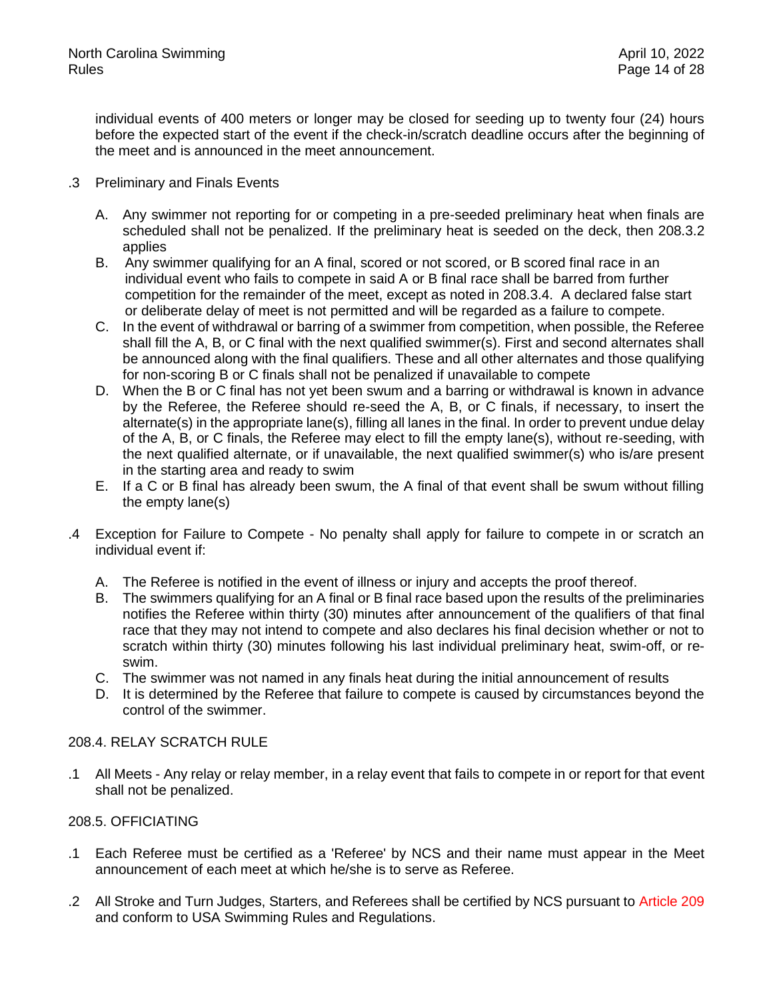individual events of 400 meters or longer may be closed for seeding up to twenty four (24) hours before the expected start of the event if the check-in/scratch deadline occurs after the beginning of the meet and is announced in the meet announcement.

- .3 Preliminary and Finals Events
	- A. Any swimmer not reporting for or competing in a pre-seeded preliminary heat when finals are scheduled shall not be penalized. If the preliminary heat is seeded on the deck, then 208.3.2 applies
	- B. Any swimmer qualifying for an A final, scored or not scored, or B scored final race in an individual event who fails to compete in said A or B final race shall be barred from further competition for the remainder of the meet, except as noted in 208.3.4. A declared false start or deliberate delay of meet is not permitted and will be regarded as a failure to compete.
	- C. In the event of withdrawal or barring of a swimmer from competition, when possible, the Referee shall fill the A, B, or C final with the next qualified swimmer(s). First and second alternates shall be announced along with the final qualifiers. These and all other alternates and those qualifying for non-scoring B or C finals shall not be penalized if unavailable to compete
	- D. When the B or C final has not yet been swum and a barring or withdrawal is known in advance by the Referee, the Referee should re-seed the A, B, or C finals, if necessary, to insert the alternate(s) in the appropriate lane(s), filling all lanes in the final. In order to prevent undue delay of the A, B, or C finals, the Referee may elect to fill the empty lane(s), without re-seeding, with the next qualified alternate, or if unavailable, the next qualified swimmer(s) who is/are present in the starting area and ready to swim
	- E. If a C or B final has already been swum, the A final of that event shall be swum without filling the empty lane(s)
- .4 Exception for Failure to Compete No penalty shall apply for failure to compete in or scratch an individual event if:
	- A. The Referee is notified in the event of illness or injury and accepts the proof thereof.
	- B. The swimmers qualifying for an A final or B final race based upon the results of the preliminaries notifies the Referee within thirty (30) minutes after announcement of the qualifiers of that final race that they may not intend to compete and also declares his final decision whether or not to scratch within thirty (30) minutes following his last individual preliminary heat, swim-off, or reswim.
	- C. The swimmer was not named in any finals heat during the initial announcement of results
	- D. It is determined by the Referee that failure to compete is caused by circumstances beyond the control of the swimmer.

# 208.4. RELAY SCRATCH RULE

.1 All Meets - Any relay or relay member, in a relay event that fails to compete in or report for that event shall not be penalized.

# 208.5. OFFICIATING

- .1 Each Referee must be certified as a 'Referee' by NCS and their name must appear in the Meet announcement of each meet at which he/she is to serve as Referee.
- .2 All Stroke and Turn Judges, Starters, and Referees shall be certified by NCS pursuant to Article 209 and conform to USA Swimming Rules and Regulations.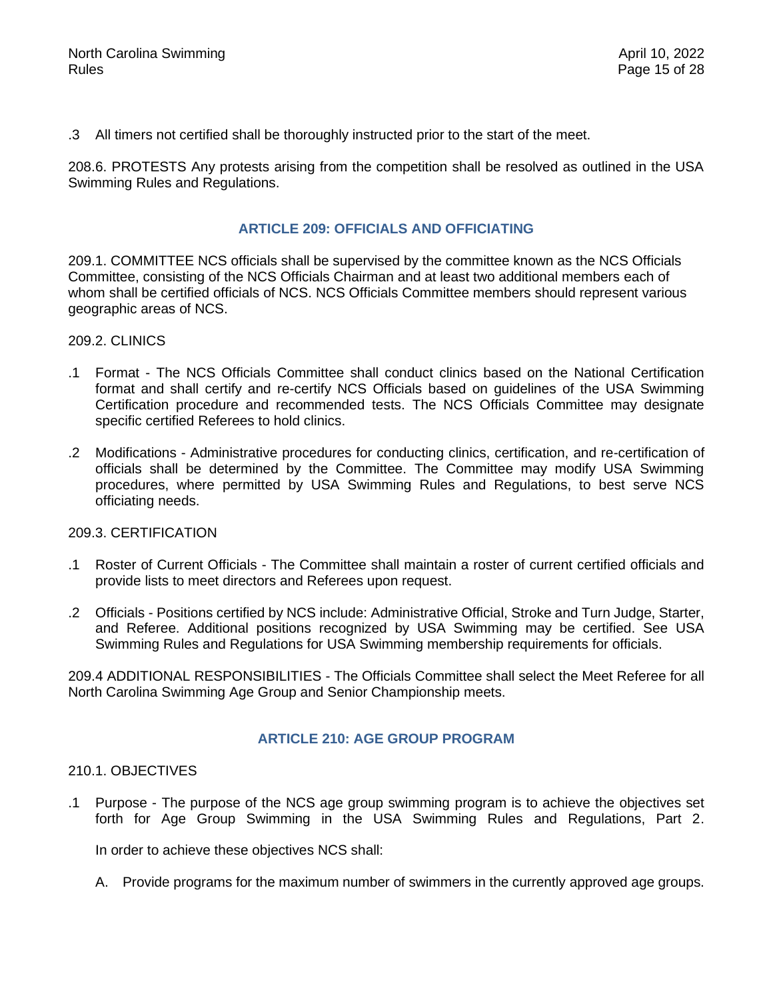.3 All timers not certified shall be thoroughly instructed prior to the start of the meet.

<span id="page-14-0"></span>208.6. PROTESTS Any protests arising from the competition shall be resolved as outlined in the USA Swimming Rules and Regulations.

### **ARTICLE 209: OFFICIALS AND OFFICIATING**

209.1. COMMITTEE NCS officials shall be supervised by the committee known as the NCS Officials Committee, consisting of the NCS Officials Chairman and at least two additional members each of whom shall be certified officials of NCS. NCS Officials Committee members should represent various geographic areas of NCS.

#### 209.2. CLINICS

- .1 Format The NCS Officials Committee shall conduct clinics based on the National Certification format and shall certify and re-certify NCS Officials based on guidelines of the USA Swimming Certification procedure and recommended tests. The NCS Officials Committee may designate specific certified Referees to hold clinics.
- .2 Modifications Administrative procedures for conducting clinics, certification, and re-certification of officials shall be determined by the Committee. The Committee may modify USA Swimming procedures, where permitted by USA Swimming Rules and Regulations, to best serve NCS officiating needs.

#### 209.3. CERTIFICATION

- .1 Roster of Current Officials The Committee shall maintain a roster of current certified officials and provide lists to meet directors and Referees upon request.
- .2 Officials Positions certified by NCS include: Administrative Official, Stroke and Turn Judge, Starter, and Referee. Additional positions recognized by USA Swimming may be certified. See USA Swimming Rules and Regulations for USA Swimming membership requirements for officials.

<span id="page-14-1"></span>209.4 ADDITIONAL RESPONSIBILITIES - The Officials Committee shall select the Meet Referee for all North Carolina Swimming Age Group and Senior Championship meets.

# **ARTICLE 210: AGE GROUP PROGRAM**

#### 210.1. OBJECTIVES

.1 Purpose - The purpose of the NCS age group swimming program is to achieve the objectives set forth for Age Group Swimming in the USA Swimming Rules and Regulations, Part 2.

In order to achieve these objectives NCS shall:

A. Provide programs for the maximum number of swimmers in the currently approved age groups.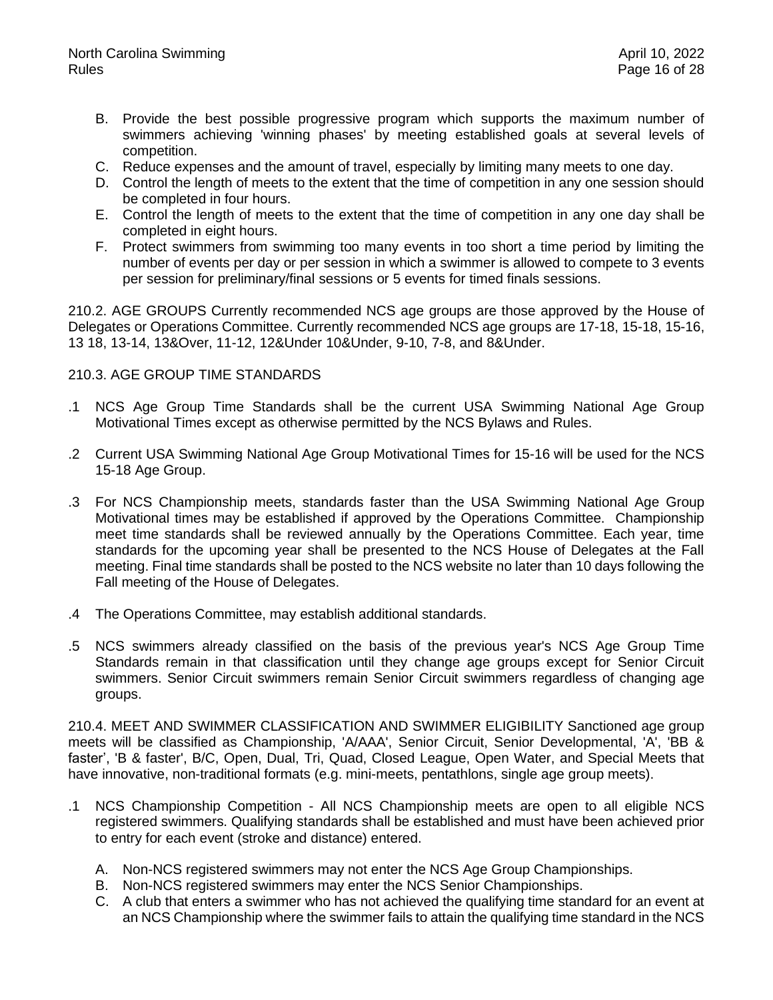- B. Provide the best possible progressive program which supports the maximum number of swimmers achieving 'winning phases' by meeting established goals at several levels of competition.
- C. Reduce expenses and the amount of travel, especially by limiting many meets to one day.
- D. Control the length of meets to the extent that the time of competition in any one session should be completed in four hours.
- E. Control the length of meets to the extent that the time of competition in any one day shall be completed in eight hours.
- F. Protect swimmers from swimming too many events in too short a time period by limiting the number of events per day or per session in which a swimmer is allowed to compete to 3 events per session for preliminary/final sessions or 5 events for timed finals sessions.

210.2. AGE GROUPS Currently recommended NCS age groups are those approved by the House of Delegates or Operations Committee. Currently recommended NCS age groups are 17-18, 15-18, 15-16, 13 18, 13-14, 13&Over, 11-12, 12&Under 10&Under, 9-10, 7-8, and 8&Under.

## 210.3. AGE GROUP TIME STANDARDS

- .1 NCS Age Group Time Standards shall be the current USA Swimming National Age Group Motivational Times except as otherwise permitted by the NCS Bylaws and Rules.
- .2 Current USA Swimming National Age Group Motivational Times for 15-16 will be used for the NCS 15-18 Age Group.
- .3 For NCS Championship meets, standards faster than the USA Swimming National Age Group Motivational times may be established if approved by the Operations Committee. Championship meet time standards shall be reviewed annually by the Operations Committee. Each year, time standards for the upcoming year shall be presented to the NCS House of Delegates at the Fall meeting. Final time standards shall be posted to the NCS website no later than 10 days following the Fall meeting of the House of Delegates.
- .4 The Operations Committee, may establish additional standards.
- .5 NCS swimmers already classified on the basis of the previous year's NCS Age Group Time Standards remain in that classification until they change age groups except for Senior Circuit swimmers. Senior Circuit swimmers remain Senior Circuit swimmers regardless of changing age groups.

210.4. MEET AND SWIMMER CLASSIFICATION AND SWIMMER ELIGIBILITY Sanctioned age group meets will be classified as Championship, 'A/AAA', Senior Circuit, Senior Developmental, 'A', 'BB & faster', 'B & faster', B/C, Open, Dual, Tri, Quad, Closed League, Open Water, and Special Meets that have innovative, non-traditional formats (e.g. mini-meets, pentathlons, single age group meets).

- .1 NCS Championship Competition All NCS Championship meets are open to all eligible NCS registered swimmers. Qualifying standards shall be established and must have been achieved prior to entry for each event (stroke and distance) entered.
	- A. Non-NCS registered swimmers may not enter the NCS Age Group Championships.
	- B. Non-NCS registered swimmers may enter the NCS Senior Championships.
	- C. A club that enters a swimmer who has not achieved the qualifying time standard for an event at an NCS Championship where the swimmer fails to attain the qualifying time standard in the NCS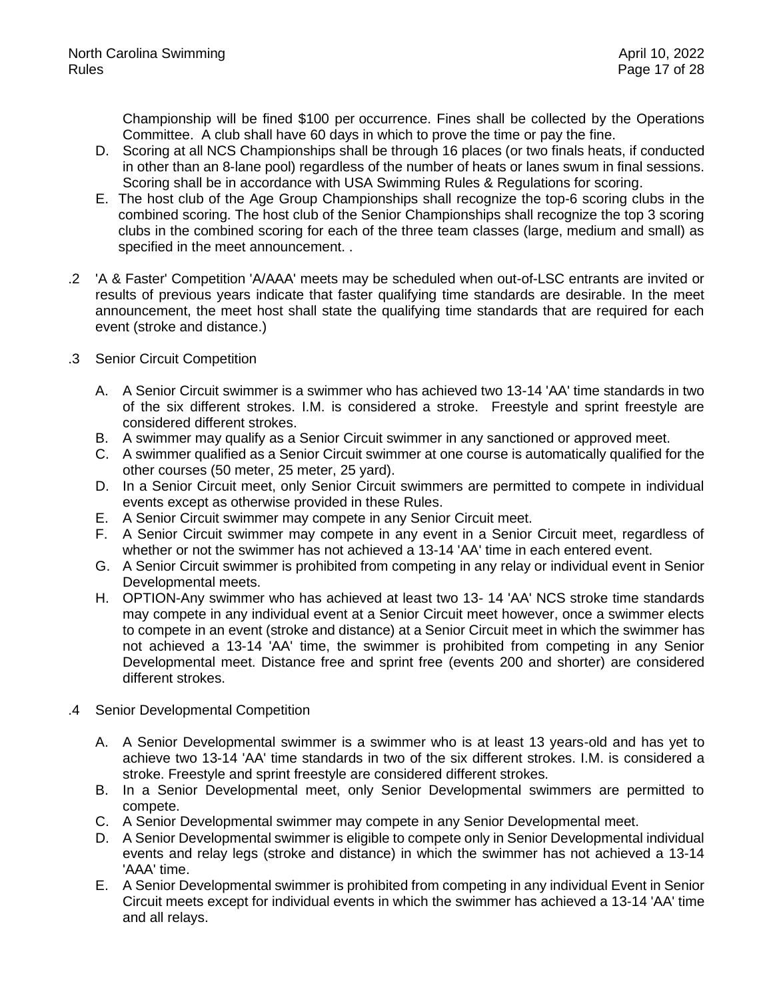Championship will be fined \$100 per occurrence. Fines shall be collected by the Operations Committee. A club shall have 60 days in which to prove the time or pay the fine.

- D. Scoring at all NCS Championships shall be through 16 places (or two finals heats, if conducted in other than an 8-lane pool) regardless of the number of heats or lanes swum in final sessions. Scoring shall be in accordance with USA Swimming Rules & Regulations for scoring.
- E. The host club of the Age Group Championships shall recognize the top-6 scoring clubs in the combined scoring. The host club of the Senior Championships shall recognize the top 3 scoring clubs in the combined scoring for each of the three team classes (large, medium and small) as specified in the meet announcement. .
- .2 'A & Faster' Competition 'A/AAA' meets may be scheduled when out-of-LSC entrants are invited or results of previous years indicate that faster qualifying time standards are desirable. In the meet announcement, the meet host shall state the qualifying time standards that are required for each event (stroke and distance.)
- .3 Senior Circuit Competition
	- A. A Senior Circuit swimmer is a swimmer who has achieved two 13-14 'AA' time standards in two of the six different strokes. I.M. is considered a stroke. Freestyle and sprint freestyle are considered different strokes.
	- B. A swimmer may qualify as a Senior Circuit swimmer in any sanctioned or approved meet.
	- C. A swimmer qualified as a Senior Circuit swimmer at one course is automatically qualified for the other courses (50 meter, 25 meter, 25 yard).
	- D. In a Senior Circuit meet, only Senior Circuit swimmers are permitted to compete in individual events except as otherwise provided in these Rules.
	- E. A Senior Circuit swimmer may compete in any Senior Circuit meet.
	- F. A Senior Circuit swimmer may compete in any event in a Senior Circuit meet, regardless of whether or not the swimmer has not achieved a 13-14 'AA' time in each entered event.
	- G. A Senior Circuit swimmer is prohibited from competing in any relay or individual event in Senior Developmental meets.
	- H. OPTION-Any swimmer who has achieved at least two 13- 14 'AA' NCS stroke time standards may compete in any individual event at a Senior Circuit meet however, once a swimmer elects to compete in an event (stroke and distance) at a Senior Circuit meet in which the swimmer has not achieved a 13-14 'AA' time, the swimmer is prohibited from competing in any Senior Developmental meet. Distance free and sprint free (events 200 and shorter) are considered different strokes.
- .4 Senior Developmental Competition
	- A. A Senior Developmental swimmer is a swimmer who is at least 13 years-old and has yet to achieve two 13-14 'AA' time standards in two of the six different strokes. I.M. is considered a stroke. Freestyle and sprint freestyle are considered different strokes.
	- B. In a Senior Developmental meet, only Senior Developmental swimmers are permitted to compete.
	- C. A Senior Developmental swimmer may compete in any Senior Developmental meet.
	- D. A Senior Developmental swimmer is eligible to compete only in Senior Developmental individual events and relay legs (stroke and distance) in which the swimmer has not achieved a 13-14 'AAA' time.
	- E. A Senior Developmental swimmer is prohibited from competing in any individual Event in Senior Circuit meets except for individual events in which the swimmer has achieved a 13-14 'AA' time and all relays.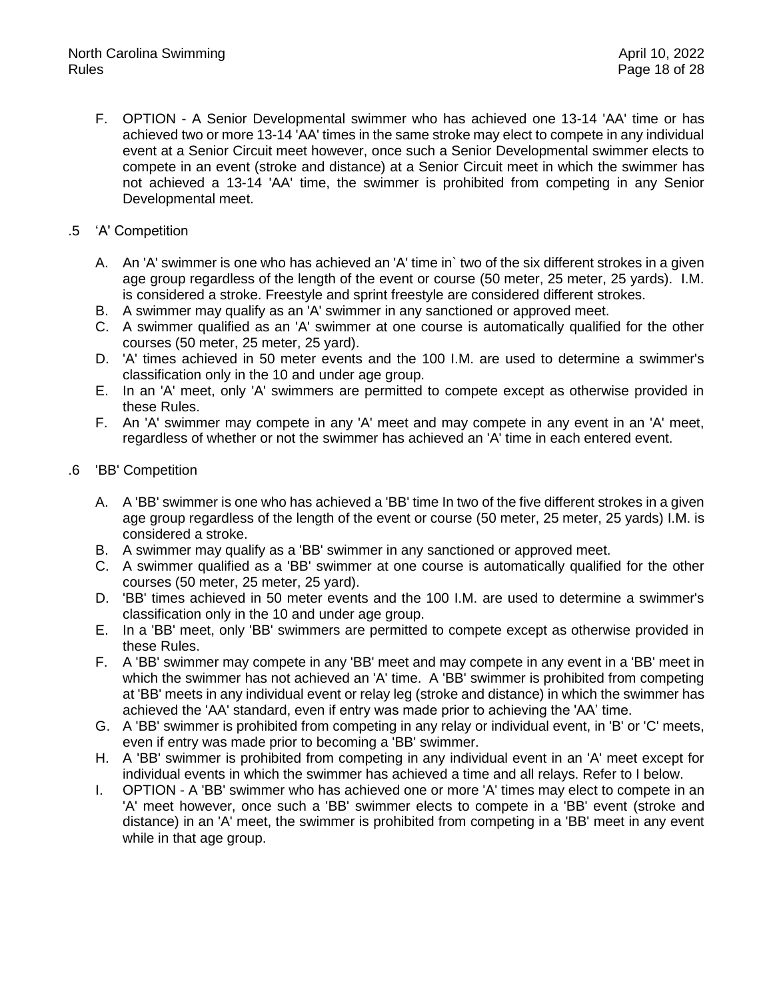- F. OPTION A Senior Developmental swimmer who has achieved one 13-14 'AA' time or has achieved two or more 13-14 'AA' times in the same stroke may elect to compete in any individual event at a Senior Circuit meet however, once such a Senior Developmental swimmer elects to compete in an event (stroke and distance) at a Senior Circuit meet in which the swimmer has not achieved a 13-14 'AA' time, the swimmer is prohibited from competing in any Senior Developmental meet.
- .5 'A' Competition
	- A. An 'A' swimmer is one who has achieved an 'A' time in` two of the six different strokes in a given age group regardless of the length of the event or course (50 meter, 25 meter, 25 yards). I.M. is considered a stroke. Freestyle and sprint freestyle are considered different strokes.
	- B. A swimmer may qualify as an 'A' swimmer in any sanctioned or approved meet.
	- C. A swimmer qualified as an 'A' swimmer at one course is automatically qualified for the other courses (50 meter, 25 meter, 25 yard).
	- D. 'A' times achieved in 50 meter events and the 100 I.M. are used to determine a swimmer's classification only in the 10 and under age group.
	- E. In an 'A' meet, only 'A' swimmers are permitted to compete except as otherwise provided in these Rules.
	- F. An 'A' swimmer may compete in any 'A' meet and may compete in any event in an 'A' meet, regardless of whether or not the swimmer has achieved an 'A' time in each entered event.
- .6 'BB' Competition
	- A. A 'BB' swimmer is one who has achieved a 'BB' time In two of the five different strokes in a given age group regardless of the length of the event or course (50 meter, 25 meter, 25 yards) I.M. is considered a stroke.
	- B. A swimmer may qualify as a 'BB' swimmer in any sanctioned or approved meet.
	- C. A swimmer qualified as a 'BB' swimmer at one course is automatically qualified for the other courses (50 meter, 25 meter, 25 yard).
	- D. 'BB' times achieved in 50 meter events and the 100 I.M. are used to determine a swimmer's classification only in the 10 and under age group.
	- E. In a 'BB' meet, only 'BB' swimmers are permitted to compete except as otherwise provided in these Rules.
	- F. A 'BB' swimmer may compete in any 'BB' meet and may compete in any event in a 'BB' meet in which the swimmer has not achieved an 'A' time. A 'BB' swimmer is prohibited from competing at 'BB' meets in any individual event or relay leg (stroke and distance) in which the swimmer has achieved the 'AA' standard, even if entry was made prior to achieving the 'AA' time.
	- G. A 'BB' swimmer is prohibited from competing in any relay or individual event, in 'B' or 'C' meets, even if entry was made prior to becoming a 'BB' swimmer.
	- H. A 'BB' swimmer is prohibited from competing in any individual event in an 'A' meet except for individual events in which the swimmer has achieved a time and all relays. Refer to I below.
	- I. OPTION A 'BB' swimmer who has achieved one or more 'A' times may elect to compete in an 'A' meet however, once such a 'BB' swimmer elects to compete in a 'BB' event (stroke and distance) in an 'A' meet, the swimmer is prohibited from competing in a 'BB' meet in any event while in that age group.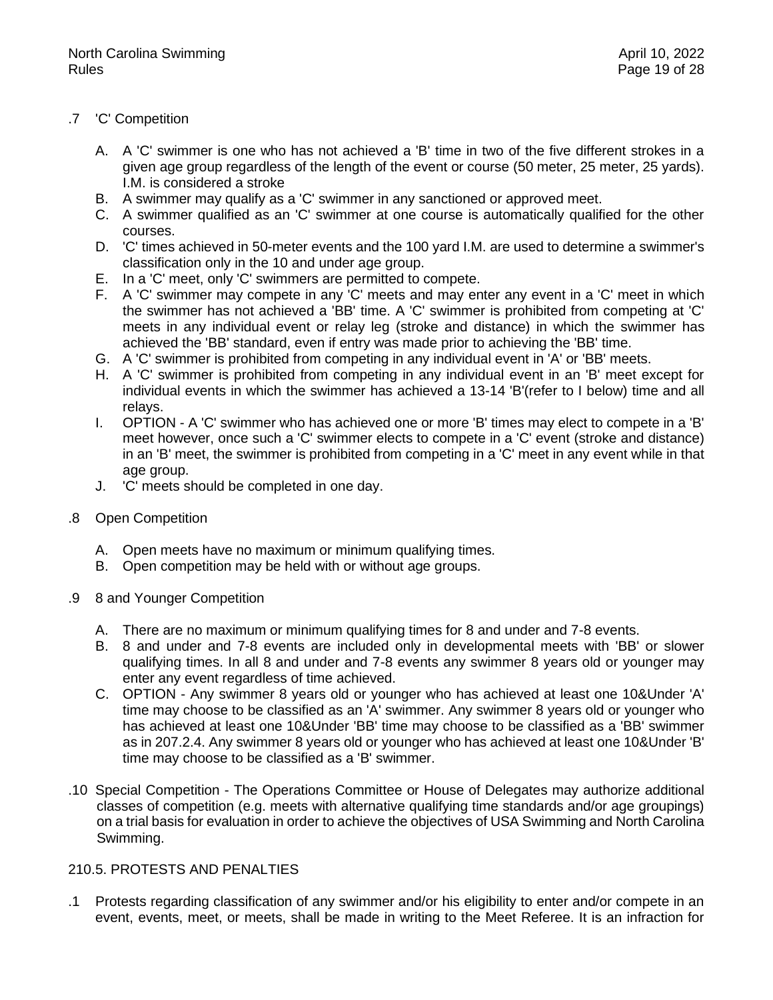# .7 'C' Competition

- A. A 'C' swimmer is one who has not achieved a 'B' time in two of the five different strokes in a given age group regardless of the length of the event or course (50 meter, 25 meter, 25 yards). I.M. is considered a stroke
- B. A swimmer may qualify as a 'C' swimmer in any sanctioned or approved meet.
- C. A swimmer qualified as an 'C' swimmer at one course is automatically qualified for the other courses.
- D. 'C' times achieved in 50-meter events and the 100 yard I.M. are used to determine a swimmer's classification only in the 10 and under age group.
- E. In a 'C' meet, only 'C' swimmers are permitted to compete.
- F. A 'C' swimmer may compete in any 'C' meets and may enter any event in a 'C' meet in which the swimmer has not achieved a 'BB' time. A 'C' swimmer is prohibited from competing at 'C' meets in any individual event or relay leg (stroke and distance) in which the swimmer has achieved the 'BB' standard, even if entry was made prior to achieving the 'BB' time.
- G. A 'C' swimmer is prohibited from competing in any individual event in 'A' or 'BB' meets.
- H. A 'C' swimmer is prohibited from competing in any individual event in an 'B' meet except for individual events in which the swimmer has achieved a 13-14 'B'(refer to I below) time and all relays.
- I. OPTION A 'C' swimmer who has achieved one or more 'B' times may elect to compete in a 'B' meet however, once such a 'C' swimmer elects to compete in a 'C' event (stroke and distance) in an 'B' meet, the swimmer is prohibited from competing in a 'C' meet in any event while in that age group.
- J. 'C' meets should be completed in one day.
- .8 Open Competition
	- A. Open meets have no maximum or minimum qualifying times.
	- B. Open competition may be held with or without age groups.
- .9 8 and Younger Competition
	- A. There are no maximum or minimum qualifying times for 8 and under and 7-8 events.
	- B. 8 and under and 7-8 events are included only in developmental meets with 'BB' or slower qualifying times. In all 8 and under and 7-8 events any swimmer 8 years old or younger may enter any event regardless of time achieved.
	- C. OPTION Any swimmer 8 years old or younger who has achieved at least one 10&Under 'A' time may choose to be classified as an 'A' swimmer. Any swimmer 8 years old or younger who has achieved at least one 10&Under 'BB' time may choose to be classified as a 'BB' swimmer as in 207.2.4. Any swimmer 8 years old or younger who has achieved at least one 10&Under 'B' time may choose to be classified as a 'B' swimmer.
- .10 Special Competition The Operations Committee or House of Delegates may authorize additional classes of competition (e.g. meets with alternative qualifying time standards and/or age groupings) on a trial basis for evaluation in order to achieve the objectives of USA Swimming and North Carolina Swimming.

# 210.5. PROTESTS AND PENALTIES

.1 Protests regarding classification of any swimmer and/or his eligibility to enter and/or compete in an event, events, meet, or meets, shall be made in writing to the Meet Referee. It is an infraction for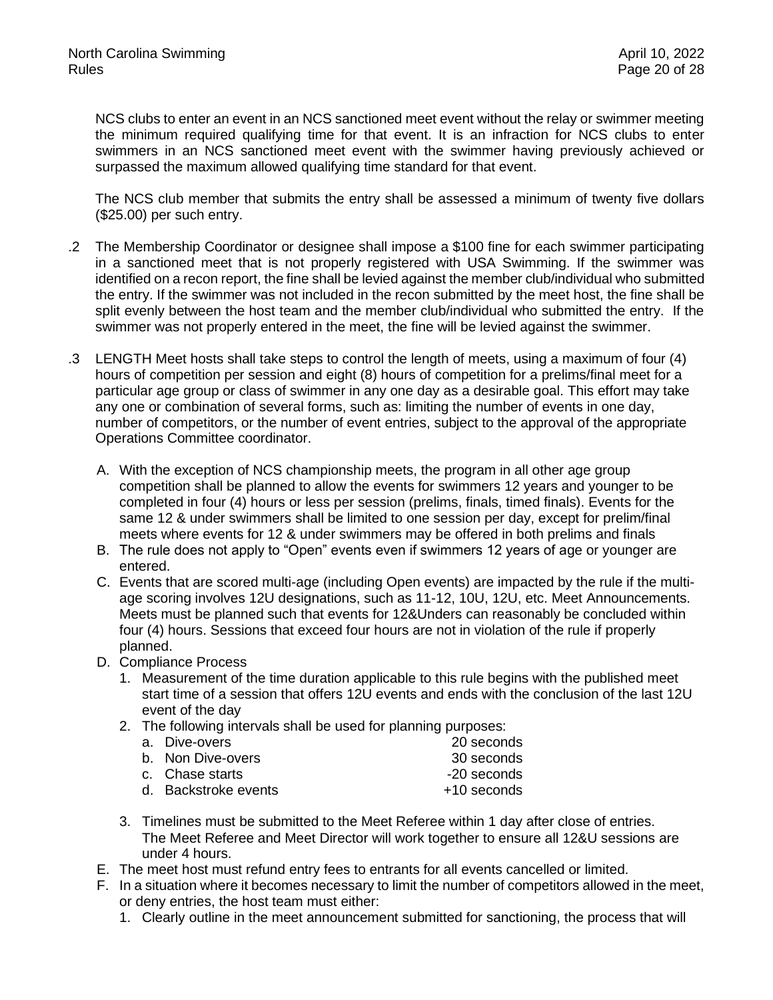NCS clubs to enter an event in an NCS sanctioned meet event without the relay or swimmer meeting the minimum required qualifying time for that event. It is an infraction for NCS clubs to enter swimmers in an NCS sanctioned meet event with the swimmer having previously achieved or surpassed the maximum allowed qualifying time standard for that event.

The NCS club member that submits the entry shall be assessed a minimum of twenty five dollars (\$25.00) per such entry.

- .2 The Membership Coordinator or designee shall impose a \$100 fine for each swimmer participating in a sanctioned meet that is not properly registered with USA Swimming. If the swimmer was identified on a recon report, the fine shall be levied against the member club/individual who submitted the entry. If the swimmer was not included in the recon submitted by the meet host, the fine shall be split evenly between the host team and the member club/individual who submitted the entry. If the swimmer was not properly entered in the meet, the fine will be levied against the swimmer.
- .3 LENGTH Meet hosts shall take steps to control the length of meets, using a maximum of four (4) hours of competition per session and eight (8) hours of competition for a prelims/final meet for a particular age group or class of swimmer in any one day as a desirable goal. This effort may take any one or combination of several forms, such as: limiting the number of events in one day, number of competitors, or the number of event entries, subject to the approval of the appropriate Operations Committee coordinator.
	- A. With the exception of NCS championship meets, the program in all other age group competition shall be planned to allow the events for swimmers 12 years and younger to be completed in four (4) hours or less per session (prelims, finals, timed finals). Events for the same 12 & under swimmers shall be limited to one session per day, except for prelim/final meets where events for 12 & under swimmers may be offered in both prelims and finals
	- B. The rule does not apply to "Open" events even if swimmers 12 years of age or younger are entered.
	- C. Events that are scored multi-age (including Open events) are impacted by the rule if the multiage scoring involves 12U designations, such as 11-12, 10U, 12U, etc. Meet Announcements. Meets must be planned such that events for 12&Unders can reasonably be concluded within four (4) hours. Sessions that exceed four hours are not in violation of the rule if properly planned.
	- D. Compliance Process
		- 1. Measurement of the time duration applicable to this rule begins with the published meet start time of a session that offers 12U events and ends with the conclusion of the last 12U event of the day
		- 2. The following intervals shall be used for planning purposes:

| a. Dive-overs        | 20 seconds  |
|----------------------|-------------|
| b. Non Dive-overs    | 30 seconds  |
| c. Chase starts      | -20 seconds |
| d. Backstroke events | +10 seconds |

- 3. Timelines must be submitted to the Meet Referee within 1 day after close of entries. The Meet Referee and Meet Director will work together to ensure all 12&U sessions are under 4 hours.
- E. The meet host must refund entry fees to entrants for all events cancelled or limited.
- F. In a situation where it becomes necessary to limit the number of competitors allowed in the meet, or deny entries, the host team must either:
	- 1. Clearly outline in the meet announcement submitted for sanctioning, the process that will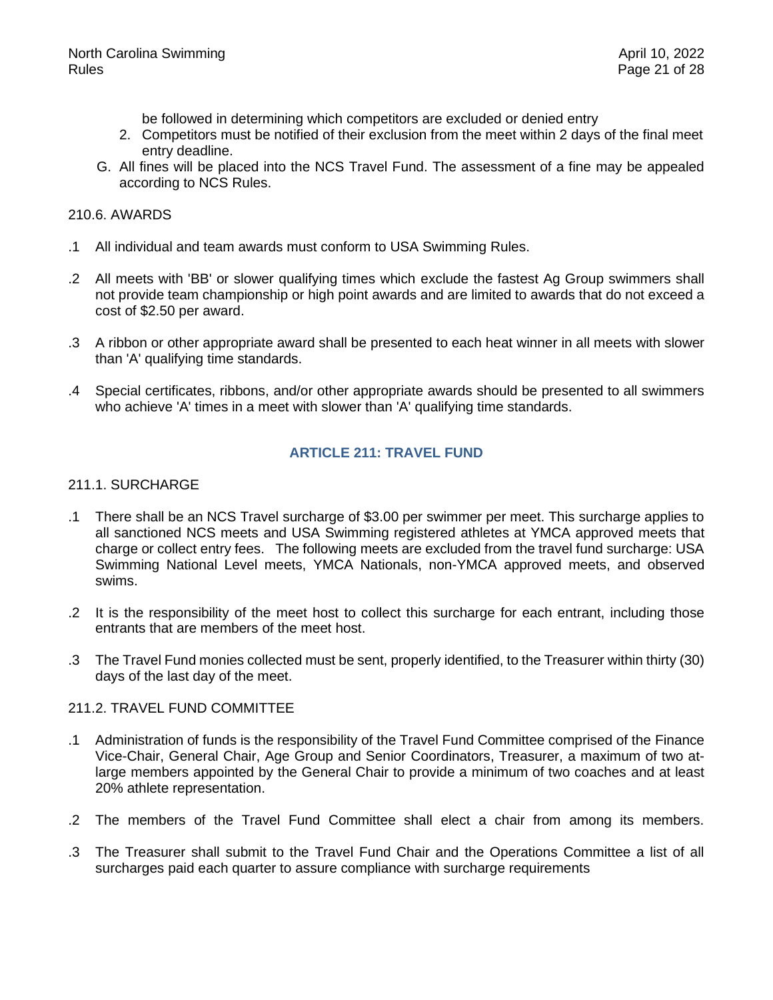be followed in determining which competitors are excluded or denied entry

- 2. Competitors must be notified of their exclusion from the meet within 2 days of the final meet entry deadline.
- G. All fines will be placed into the NCS Travel Fund. The assessment of a fine may be appealed according to NCS Rules.

#### 210.6. AWARDS

- .1 All individual and team awards must conform to USA Swimming Rules.
- .2 All meets with 'BB' or slower qualifying times which exclude the fastest Ag Group swimmers shall not provide team championship or high point awards and are limited to awards that do not exceed a cost of \$2.50 per award.
- .3 A ribbon or other appropriate award shall be presented to each heat winner in all meets with slower than 'A' qualifying time standards.
- <span id="page-20-0"></span>.4 Special certificates, ribbons, and/or other appropriate awards should be presented to all swimmers who achieve 'A' times in a meet with slower than 'A' qualifying time standards.

#### **ARTICLE 211: TRAVEL FUND**

#### 211.1. SURCHARGE

- .1 There shall be an NCS Travel surcharge of \$3.00 per swimmer per meet. This surcharge applies to all sanctioned NCS meets and USA Swimming registered athletes at YMCA approved meets that charge or collect entry fees. The following meets are excluded from the travel fund surcharge: USA Swimming National Level meets, YMCA Nationals, non-YMCA approved meets, and observed swims.
- .2 It is the responsibility of the meet host to collect this surcharge for each entrant, including those entrants that are members of the meet host.
- .3 The Travel Fund monies collected must be sent, properly identified, to the Treasurer within thirty (30) days of the last day of the meet.

# 211.2. TRAVEL FUND COMMITTEE

- .1 Administration of funds is the responsibility of the Travel Fund Committee comprised of the Finance Vice-Chair, General Chair, Age Group and Senior Coordinators, Treasurer, a maximum of two atlarge members appointed by the General Chair to provide a minimum of two coaches and at least 20% athlete representation.
- .2 The members of the Travel Fund Committee shall elect a chair from among its members.
- .3 The Treasurer shall submit to the Travel Fund Chair and the Operations Committee a list of all surcharges paid each quarter to assure compliance with surcharge requirements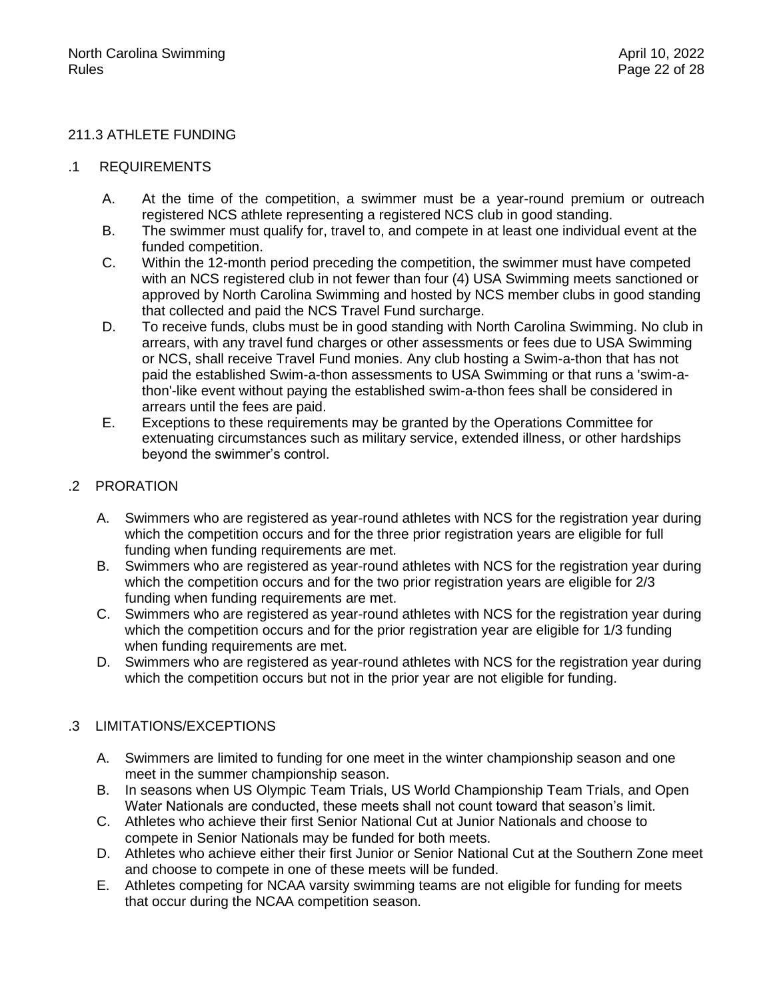# 211.3 ATHLETE FUNDING

# .1 REQUIREMENTS

- A. At the time of the competition, a swimmer must be a year-round premium or outreach registered NCS athlete representing a registered NCS club in good standing.
- B. The swimmer must qualify for, travel to, and compete in at least one individual event at the funded competition.
- C. Within the 12-month period preceding the competition, the swimmer must have competed with an NCS registered club in not fewer than four (4) USA Swimming meets sanctioned or approved by North Carolina Swimming and hosted by NCS member clubs in good standing that collected and paid the NCS Travel Fund surcharge.
- D. To receive funds, clubs must be in good standing with North Carolina Swimming. No club in arrears, with any travel fund charges or other assessments or fees due to USA Swimming or NCS, shall receive Travel Fund monies. Any club hosting a Swim-a-thon that has not paid the established Swim-a-thon assessments to USA Swimming or that runs a 'swim-athon'-like event without paying the established swim-a-thon fees shall be considered in arrears until the fees are paid.
- E. Exceptions to these requirements may be granted by the Operations Committee for extenuating circumstances such as military service, extended illness, or other hardships beyond the swimmer's control.

# .2 PRORATION

- A. Swimmers who are registered as year-round athletes with NCS for the registration year during which the competition occurs and for the three prior registration years are eligible for full funding when funding requirements are met.
- B. Swimmers who are registered as year-round athletes with NCS for the registration year during which the competition occurs and for the two prior registration years are eligible for  $2/3$ funding when funding requirements are met.
- C. Swimmers who are registered as year-round athletes with NCS for the registration year during which the competition occurs and for the prior registration year are eligible for 1/3 funding when funding requirements are met.
- D. Swimmers who are registered as year-round athletes with NCS for the registration year during which the competition occurs but not in the prior year are not eligible for funding.

# .3 LIMITATIONS/EXCEPTIONS

- A. Swimmers are limited to funding for one meet in the winter championship season and one meet in the summer championship season.
- B. In seasons when US Olympic Team Trials, US World Championship Team Trials, and Open Water Nationals are conducted, these meets shall not count toward that season's limit.
- C. Athletes who achieve their first Senior National Cut at Junior Nationals and choose to compete in Senior Nationals may be funded for both meets.
- D. Athletes who achieve either their first Junior or Senior National Cut at the Southern Zone meet and choose to compete in one of these meets will be funded.
- E. Athletes competing for NCAA varsity swimming teams are not eligible for funding for meets that occur during the NCAA competition season.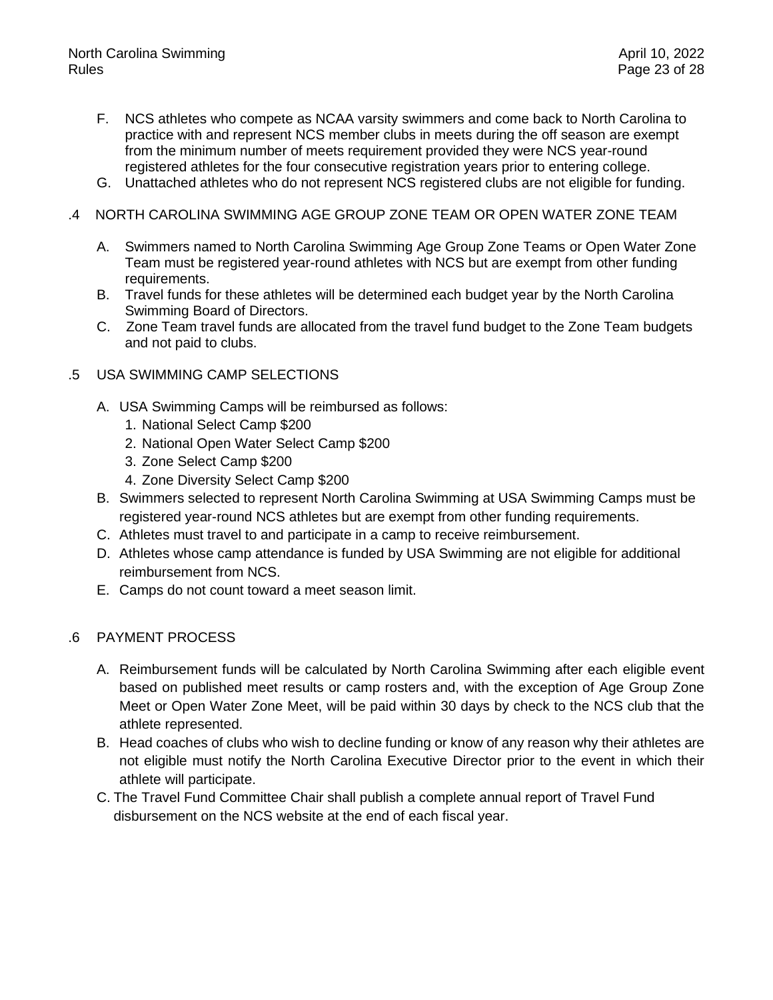- F. NCS athletes who compete as NCAA varsity swimmers and come back to North Carolina to practice with and represent NCS member clubs in meets during the off season are exempt from the minimum number of meets requirement provided they were NCS year-round registered athletes for the four consecutive registration years prior to entering college.
- G. Unattached athletes who do not represent NCS registered clubs are not eligible for funding.

## .4 NORTH CAROLINA SWIMMING AGE GROUP ZONE TEAM OR OPEN WATER ZONE TEAM

- A. Swimmers named to North Carolina Swimming Age Group Zone Teams or Open Water Zone Team must be registered year-round athletes with NCS but are exempt from other funding requirements.
- B. Travel funds for these athletes will be determined each budget year by the North Carolina Swimming Board of Directors.
- C. Zone Team travel funds are allocated from the travel fund budget to the Zone Team budgets and not paid to clubs.
- .5 USA SWIMMING CAMP SELECTIONS
	- A. USA Swimming Camps will be reimbursed as follows:
		- 1. National Select Camp \$200
		- 2. National Open Water Select Camp \$200
		- 3. Zone Select Camp \$200
		- 4. Zone Diversity Select Camp \$200
	- B. Swimmers selected to represent North Carolina Swimming at USA Swimming Camps must be registered year-round NCS athletes but are exempt from other funding requirements.
	- C. Athletes must travel to and participate in a camp to receive reimbursement.
	- D. Athletes whose camp attendance is funded by USA Swimming are not eligible for additional reimbursement from NCS.
	- E. Camps do not count toward a meet season limit.

# .6 PAYMENT PROCESS

- A. Reimbursement funds will be calculated by North Carolina Swimming after each eligible event based on published meet results or camp rosters and, with the exception of Age Group Zone Meet or Open Water Zone Meet, will be paid within 30 days by check to the NCS club that the athlete represented.
- B. Head coaches of clubs who wish to decline funding or know of any reason why their athletes are not eligible must notify the North Carolina Executive Director prior to the event in which their athlete will participate.
- C. The Travel Fund Committee Chair shall publish a complete annual report of Travel Fund disbursement on the NCS website at the end of each fiscal year.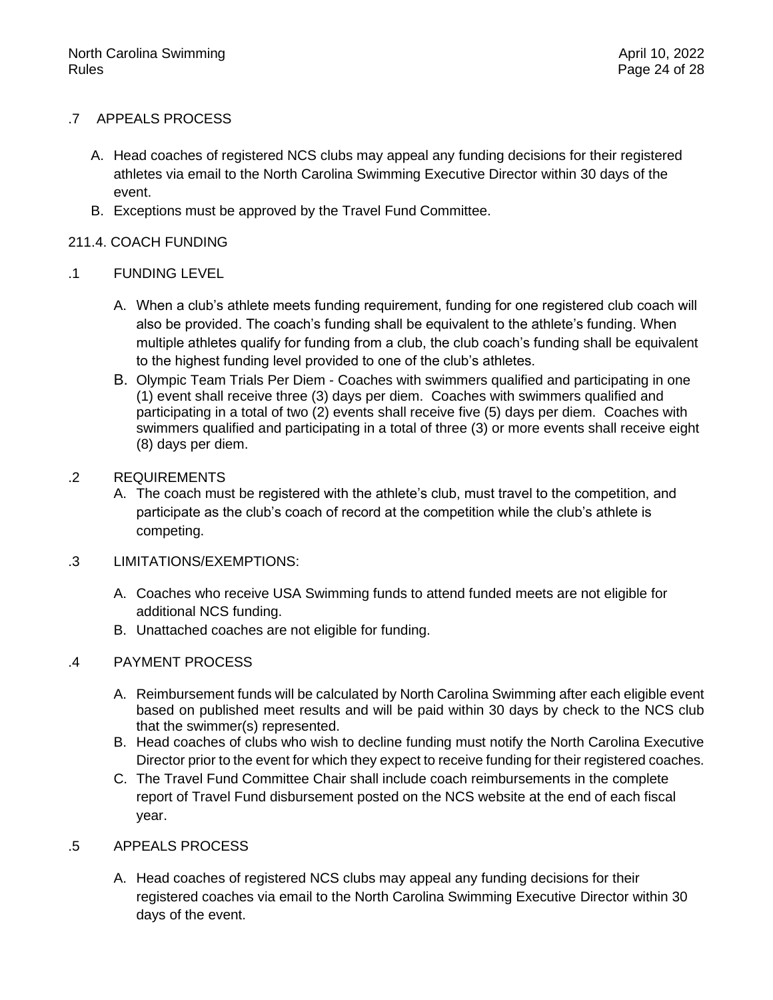# .7 APPEALS PROCESS

- A. Head coaches of registered NCS clubs may appeal any funding decisions for their registered athletes via email to the North Carolina Swimming Executive Director within 30 days of the event.
- B. Exceptions must be approved by the Travel Fund Committee.

# 211.4. COACH FUNDING

# .1 FUNDING LEVEL

- A. When a club's athlete meets funding requirement, funding for one registered club coach will also be provided. The coach's funding shall be equivalent to the athlete's funding. When multiple athletes qualify for funding from a club, the club coach's funding shall be equivalent to the highest funding level provided to one of the club's athletes.
- B. Olympic Team Trials Per Diem Coaches with swimmers qualified and participating in one (1) event shall receive three (3) days per diem. Coaches with swimmers qualified and participating in a total of two (2) events shall receive five (5) days per diem. Coaches with swimmers qualified and participating in a total of three (3) or more events shall receive eight (8) days per diem.

# .2 REQUIREMENTS

A. The coach must be registered with the athlete's club, must travel to the competition, and participate as the club's coach of record at the competition while the club's athlete is competing.

# .3 LIMITATIONS/EXEMPTIONS:

- A. Coaches who receive USA Swimming funds to attend funded meets are not eligible for additional NCS funding.
- B. Unattached coaches are not eligible for funding.

# .4 PAYMENT PROCESS

- A. Reimbursement funds will be calculated by North Carolina Swimming after each eligible event based on published meet results and will be paid within 30 days by check to the NCS club that the swimmer(s) represented.
- B. Head coaches of clubs who wish to decline funding must notify the North Carolina Executive Director prior to the event for which they expect to receive funding for their registered coaches.
- C. The Travel Fund Committee Chair shall include coach reimbursements in the complete report of Travel Fund disbursement posted on the NCS website at the end of each fiscal year.

# .5 APPEALS PROCESS

A. Head coaches of registered NCS clubs may appeal any funding decisions for their registered coaches via email to the North Carolina Swimming Executive Director within 30 days of the event.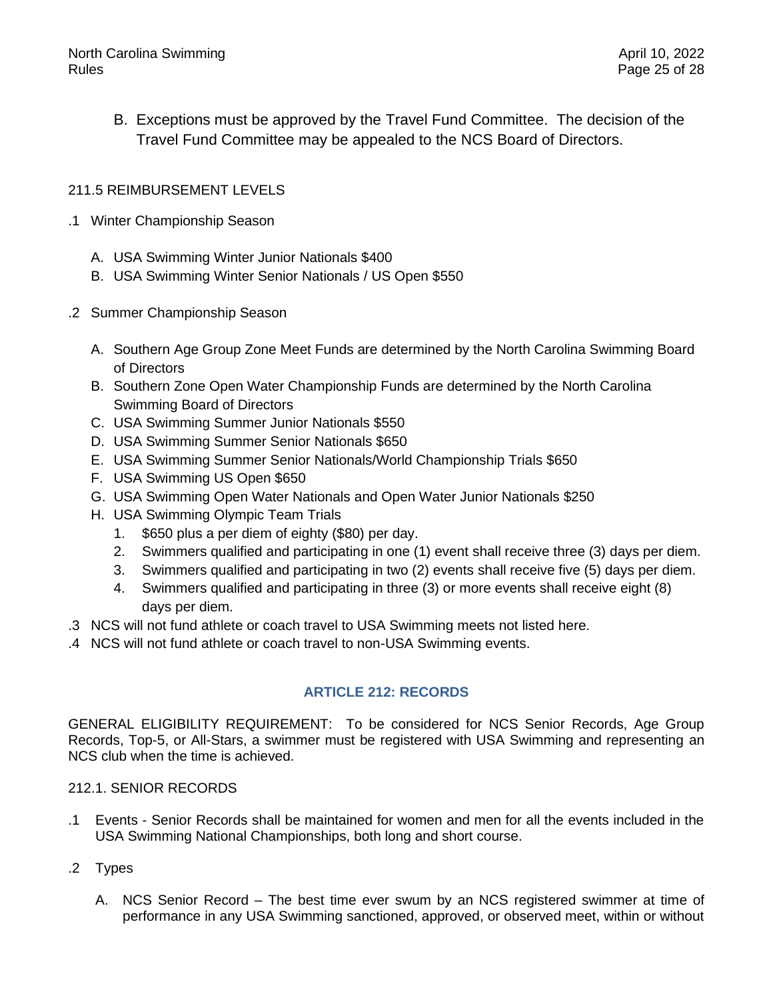B. Exceptions must be approved by the Travel Fund Committee. The decision of the Travel Fund Committee may be appealed to the NCS Board of Directors.

# 211.5 REIMBURSEMENT LEVELS

- .1 Winter Championship Season
	- A. USA Swimming Winter Junior Nationals \$400
	- B. USA Swimming Winter Senior Nationals / US Open \$550
- .2 Summer Championship Season
	- A. Southern Age Group Zone Meet Funds are determined by the North Carolina Swimming Board of Directors
	- B. Southern Zone Open Water Championship Funds are determined by the North Carolina Swimming Board of Directors
	- C. USA Swimming Summer Junior Nationals \$550
	- D. USA Swimming Summer Senior Nationals \$650
	- E. USA Swimming Summer Senior Nationals/World Championship Trials \$650
	- F. USA Swimming US Open \$650
	- G. USA Swimming Open Water Nationals and Open Water Junior Nationals \$250
	- H. USA Swimming Olympic Team Trials
		- 1. \$650 plus a per diem of eighty (\$80) per day.
		- 2. Swimmers qualified and participating in one (1) event shall receive three (3) days per diem.
		- 3. Swimmers qualified and participating in two (2) events shall receive five (5) days per diem.
		- 4. Swimmers qualified and participating in three (3) or more events shall receive eight (8) days per diem.
- .3 NCS will not fund athlete or coach travel to USA Swimming meets not listed here.
- <span id="page-24-0"></span>.4 NCS will not fund athlete or coach travel to non-USA Swimming events.

# **ARTICLE 212: RECORDS**

GENERAL ELIGIBILITY REQUIREMENT: To be considered for NCS Senior Records, Age Group Records, Top-5, or All-Stars, a swimmer must be registered with USA Swimming and representing an NCS club when the time is achieved.

# 212.1. SENIOR RECORDS

- .1 Events Senior Records shall be maintained for women and men for all the events included in the USA Swimming National Championships, both long and short course.
- .2 Types
	- A. NCS Senior Record The best time ever swum by an NCS registered swimmer at time of performance in any USA Swimming sanctioned, approved, or observed meet, within or without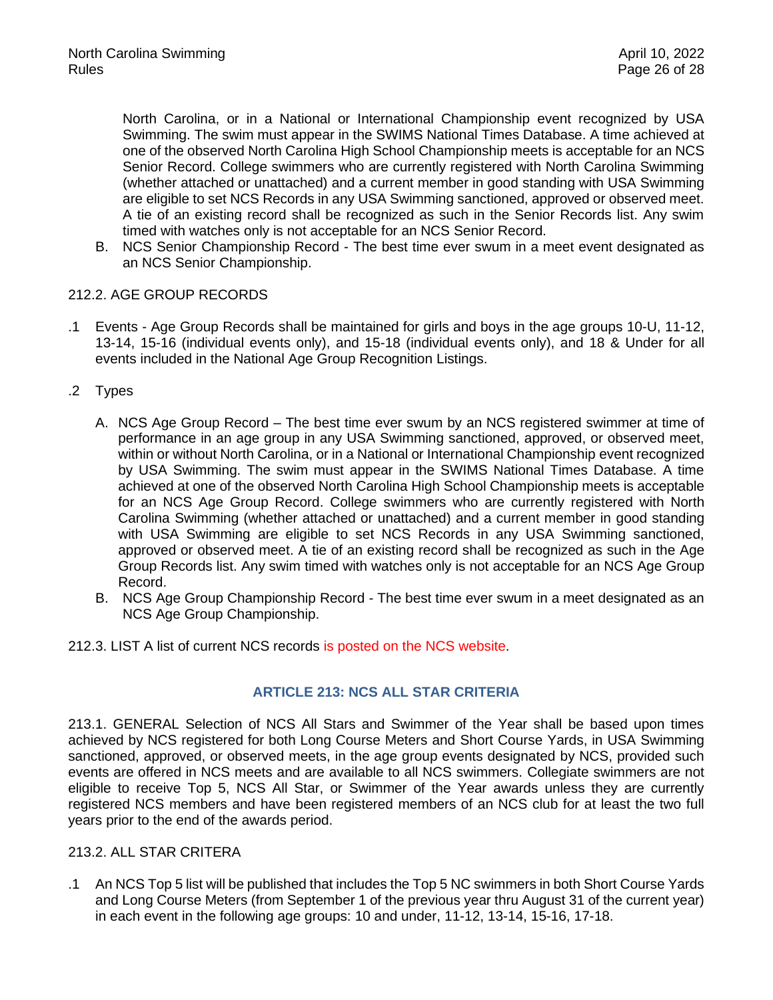North Carolina, or in a National or International Championship event recognized by USA Swimming. The swim must appear in the SWIMS National Times Database. A time achieved at one of the observed North Carolina High School Championship meets is acceptable for an NCS Senior Record. College swimmers who are currently registered with North Carolina Swimming (whether attached or unattached) and a current member in good standing with USA Swimming are eligible to set NCS Records in any USA Swimming sanctioned, approved or observed meet. A tie of an existing record shall be recognized as such in the Senior Records list. Any swim timed with watches only is not acceptable for an NCS Senior Record.

B. NCS Senior Championship Record - The best time ever swum in a meet event designated as an NCS Senior Championship.

# 212.2. AGE GROUP RECORDS

- .1 Events Age Group Records shall be maintained for girls and boys in the age groups 10-U, 11-12, 13-14, 15-16 (individual events only), and 15-18 (individual events only), and 18 & Under for all events included in the National Age Group Recognition Listings.
- .2 Types
	- A. NCS Age Group Record The best time ever swum by an NCS registered swimmer at time of performance in an age group in any USA Swimming sanctioned, approved, or observed meet, within or without North Carolina, or in a National or International Championship event recognized by USA Swimming. The swim must appear in the SWIMS National Times Database. A time achieved at one of the observed North Carolina High School Championship meets is acceptable for an NCS Age Group Record. College swimmers who are currently registered with North Carolina Swimming (whether attached or unattached) and a current member in good standing with USA Swimming are eligible to set NCS Records in any USA Swimming sanctioned, approved or observed meet. A tie of an existing record shall be recognized as such in the Age Group Records list. Any swim timed with watches only is not acceptable for an NCS Age Group Record.
	- B. NCS Age Group Championship Record The best time ever swum in a meet designated as an NCS Age Group Championship.
- <span id="page-25-0"></span>212.3. LIST A list of current NCS records is posted on the NCS website.

# **ARTICLE 213: NCS ALL STAR CRITERIA**

213.1. GENERAL Selection of NCS All Stars and Swimmer of the Year shall be based upon times achieved by NCS registered for both Long Course Meters and Short Course Yards, in USA Swimming sanctioned, approved, or observed meets, in the age group events designated by NCS, provided such events are offered in NCS meets and are available to all NCS swimmers. Collegiate swimmers are not eligible to receive Top 5, NCS All Star, or Swimmer of the Year awards unless they are currently registered NCS members and have been registered members of an NCS club for at least the two full years prior to the end of the awards period.

# 213.2. ALL STAR CRITERA

.1 An NCS Top 5 list will be published that includes the Top 5 NC swimmers in both Short Course Yards and Long Course Meters (from September 1 of the previous year thru August 31 of the current year) in each event in the following age groups: 10 and under, 11-12, 13-14, 15-16, 17-18.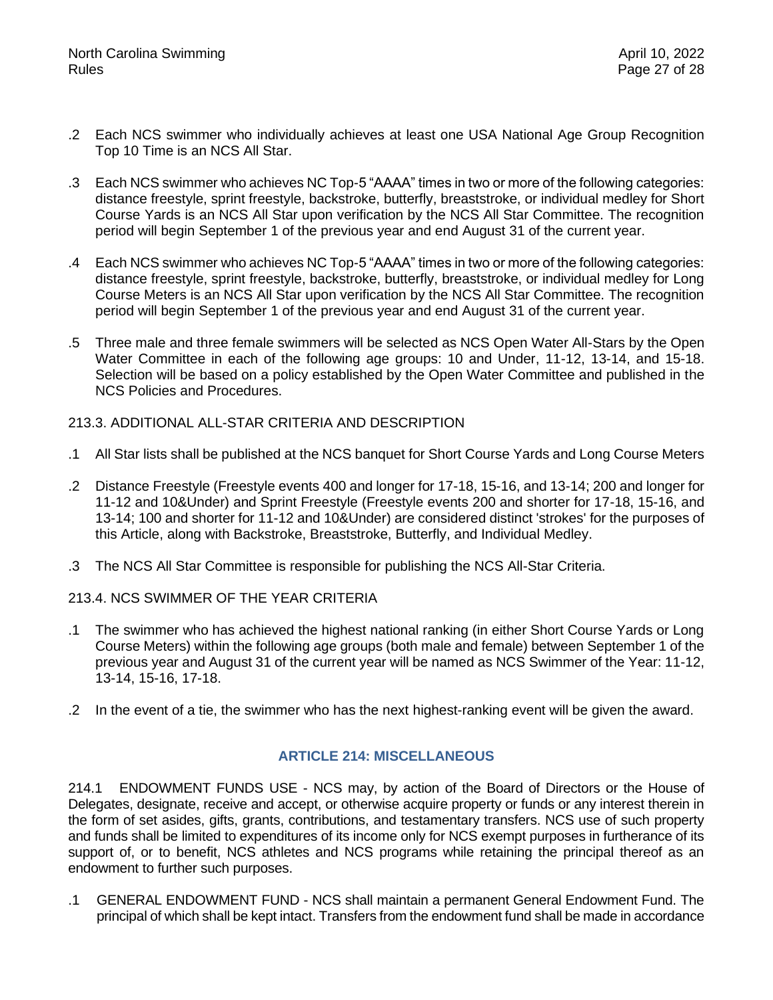- .2 Each NCS swimmer who individually achieves at least one USA National Age Group Recognition Top 10 Time is an NCS All Star.
- .3 Each NCS swimmer who achieves NC Top-5 "AAAA" times in two or more of the following categories: distance freestyle, sprint freestyle, backstroke, butterfly, breaststroke, or individual medley for Short Course Yards is an NCS All Star upon verification by the NCS All Star Committee. The recognition period will begin September 1 of the previous year and end August 31 of the current year.
- .4 Each NCS swimmer who achieves NC Top-5 "AAAA" times in two or more of the following categories: distance freestyle, sprint freestyle, backstroke, butterfly, breaststroke, or individual medley for Long Course Meters is an NCS All Star upon verification by the NCS All Star Committee. The recognition period will begin September 1 of the previous year and end August 31 of the current year.
- .5 Three male and three female swimmers will be selected as NCS Open Water All-Stars by the Open Water Committee in each of the following age groups: 10 and Under, 11-12, 13-14, and 15-18. Selection will be based on a policy established by the Open Water Committee and published in the NCS Policies and Procedures.

213.3. ADDITIONAL ALL-STAR CRITERIA AND DESCRIPTION

- .1 All Star lists shall be published at the NCS banquet for Short Course Yards and Long Course Meters
- .2 Distance Freestyle (Freestyle events 400 and longer for 17-18, 15-16, and 13-14; 200 and longer for 11-12 and 10&Under) and Sprint Freestyle (Freestyle events 200 and shorter for 17-18, 15-16, and 13-14; 100 and shorter for 11-12 and 10&Under) are considered distinct 'strokes' for the purposes of this Article, along with Backstroke, Breaststroke, Butterfly, and Individual Medley.
- .3 The NCS All Star Committee is responsible for publishing the NCS All-Star Criteria.
- 213.4. NCS SWIMMER OF THE YEAR CRITERIA
- .1 The swimmer who has achieved the highest national ranking (in either Short Course Yards or Long Course Meters) within the following age groups (both male and female) between September 1 of the previous year and August 31 of the current year will be named as NCS Swimmer of the Year: 11-12, 13-14, 15-16, 17-18.
- <span id="page-26-0"></span>.2 In the event of a tie, the swimmer who has the next highest-ranking event will be given the award.

# **ARTICLE 214: MISCELLANEOUS**

214.1 ENDOWMENT FUNDS USE - NCS may, by action of the Board of Directors or the House of Delegates, designate, receive and accept, or otherwise acquire property or funds or any interest therein in the form of set asides, gifts, grants, contributions, and testamentary transfers. NCS use of such property and funds shall be limited to expenditures of its income only for NCS exempt purposes in furtherance of its support of, or to benefit, NCS athletes and NCS programs while retaining the principal thereof as an endowment to further such purposes.

.1 GENERAL ENDOWMENT FUND - NCS shall maintain a permanent General Endowment Fund. The principal of which shall be kept intact. Transfers from the endowment fund shall be made in accordance